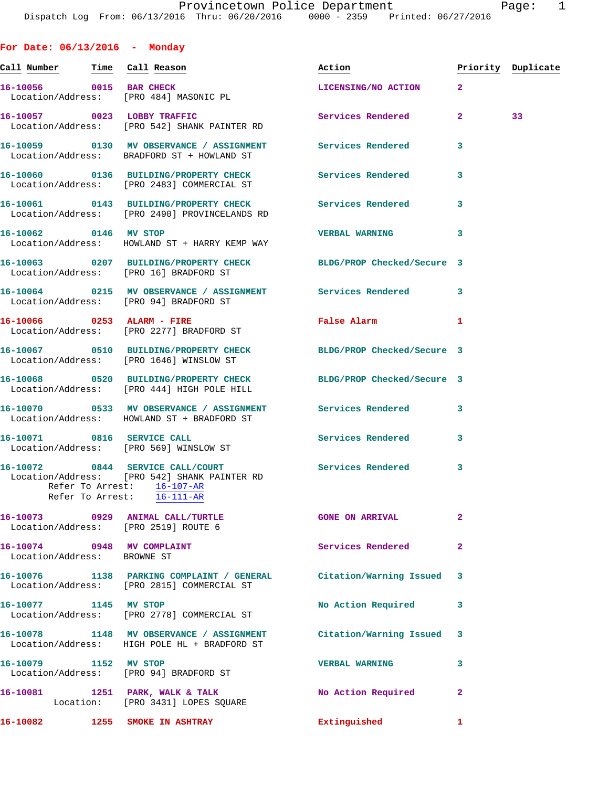**For Date: 06/13/2016 - Monday Call Number Time Call Reason Action Priority Duplicate 16-10056 0015 BAR CHECK LICENSING/NO ACTION 2**  Location/Address: [PRO 484] MASONIC PL 16-10057 0023 LOBBY TRAFFIC Services Rendered 2 33 Location/Address: [PRO 542] SHANK PAINTER RD **16-10059 0130 MV OBSERVANCE / ASSIGNMENT Services Rendered 3**  Location/Address: BRADFORD ST + HOWLAND ST **16-10060 0136 BUILDING/PROPERTY CHECK Services Rendered 3**  Location/Address: [PRO 2483] COMMERCIAL ST **16-10061 0143 BUILDING/PROPERTY CHECK Services Rendered 3**  Location/Address: [PRO 2490] PROVINCELANDS RD **16-10062 0146 MV STOP VERBAL WARNING 3**  Location/Address: HOWLAND ST + HARRY KEMP WAY **16-10063 0207 BUILDING/PROPERTY CHECK BLDG/PROP Checked/Secure 3**  Location/Address: [PRO 16] BRADFORD ST **16-10064 0215 MV OBSERVANCE / ASSIGNMENT Services Rendered 3**  Location/Address: [PRO 94] BRADFORD ST **16-10066 0253 ALARM - FIRE False Alarm 1**  Location/Address: [PRO 2277] BRADFORD ST **16-10067 0510 BUILDING/PROPERTY CHECK BLDG/PROP Checked/Secure 3**  Location/Address: [PRO 1646] WINSLOW ST **16-10068 0520 BUILDING/PROPERTY CHECK BLDG/PROP Checked/Secure 3**  Location/Address: [PRO 444] HIGH POLE HILL **16-10070 0533 MV OBSERVANCE / ASSIGNMENT Services Rendered 3**  Location/Address: HOWLAND ST + BRADFORD ST 16-10071 0816 SERVICE CALL **SERVICE CALL** Services Rendered 3 Location/Address: [PRO 569] WINSLOW ST **16-10072 0844 SERVICE CALL/COURT Services Rendered 3**  Location/Address: [PRO 542] SHANK PAINTER RD Refer To Arrest: 16-107-AR Refer To Arrest: 16-111-AR **16-10073 0929 ANIMAL CALL/TURTLE GONE ON ARRIVAL 2**  Location/Address: [PRO 2519] ROUTE 6 16-10074 0948 MV COMPLAINT **Services Rendered** 2 Location/Address: BROWNE ST **16-10076 1138 PARKING COMPLAINT / GENERAL Citation/Warning Issued 3**  Location/Address: [PRO 2815] COMMERCIAL ST 16-10077 1145 MV STOP 10 200 No Action Required 3 Location/Address: [PRO 2778] COMMERCIAL ST **16-10078 1148 MV OBSERVANCE / ASSIGNMENT Citation/Warning Issued 3**  Location/Address: HIGH POLE HL + BRADFORD ST **16-10079 1152 MV STOP VERBAL WARNING 3**  Location/Address: [PRO 94] BRADFORD ST

**16-10081 1251 PARK, WALK & TALK No Action Required 2**  Location: [PRO 3431] LOPES SQUARE **16-10082 1255 SMOKE IN ASHTRAY Extinguished 1**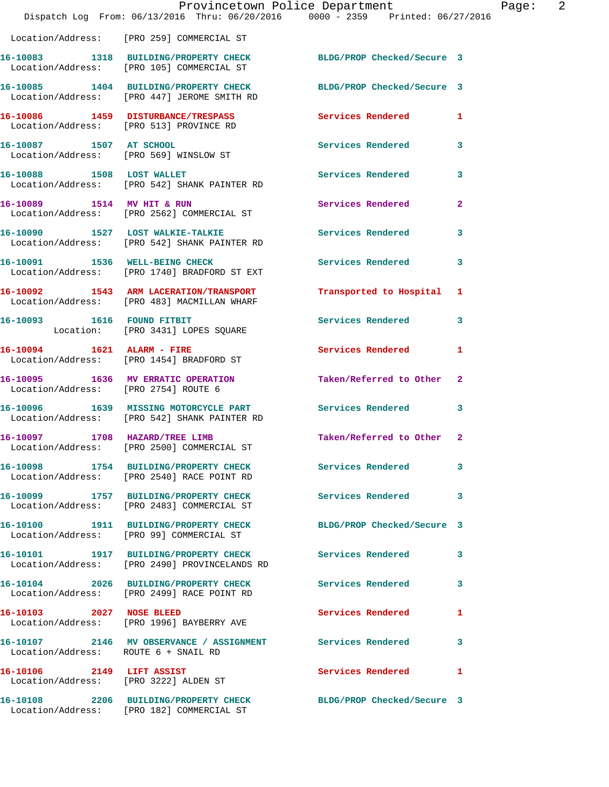|                                                                    | Provincetown Police Department<br>Dispatch Log From: 06/13/2016 Thru: 06/20/2016 0000 - 2359 Printed: 06/27/2016 |                            |              |
|--------------------------------------------------------------------|------------------------------------------------------------------------------------------------------------------|----------------------------|--------------|
|                                                                    | Location/Address: [PRO 259] COMMERCIAL ST                                                                        |                            |              |
|                                                                    | 16-10083 1318 BUILDING/PROPERTY CHECK<br>Location/Address: [PRO 105] COMMERCIAL ST                               | BLDG/PROP Checked/Secure 3 |              |
|                                                                    | 16-10085 1404 BUILDING/PROPERTY CHECK<br>Location/Address: [PRO 447] JEROME SMITH RD                             | BLDG/PROP Checked/Secure 3 |              |
| Location/Address: [PRO 513] PROVINCE RD                            | 16-10086 1459 DISTURBANCE/TRESPASS                                                                               | <b>Services Rendered</b>   | 1            |
| 16-10087 1507 AT SCHOOL                                            | Location/Address: [PRO 569] WINSLOW ST                                                                           | Services Rendered          | 3            |
| 16-10088 1508 LOST WALLET                                          | Location/Address: [PRO 542] SHANK PAINTER RD                                                                     | Services Rendered          | 3            |
| 16-10089 1514 MV HIT & RUN                                         | Location/Address: [PRO 2562] COMMERCIAL ST                                                                       | Services Rendered          | $\mathbf{2}$ |
|                                                                    | 16-10090 1527 LOST WALKIE-TALKIE<br>Location/Address: [PRO 542] SHANK PAINTER RD                                 | <b>Services Rendered</b>   | 3            |
| 16-10091 1536 WELL-BEING CHECK                                     | Location/Address: [PRO 1740] BRADFORD ST EXT                                                                     | <b>Services Rendered</b>   | 3            |
|                                                                    | 16-10092 1543 ARM LACERATION/TRANSPORT<br>Location/Address: [PRO 483] MACMILLAN WHARF                            | Transported to Hospital    | 1            |
| 16-10093 1616 FOUND FITBIT                                         | Location: [PRO 3431] LOPES SQUARE                                                                                | <b>Services Rendered</b>   | 3            |
| 16-10094 1621 ALARM - FIRE                                         | Location/Address: [PRO 1454] BRADFORD ST                                                                         | Services Rendered          | 1            |
| Location/Address: [PRO 2754] ROUTE 6                               | 16-10095 1636 MV ERRATIC OPERATION                                                                               | Taken/Referred to Other    | $\mathbf{2}$ |
|                                                                    | 16-10096 1639 MISSING MOTORCYCLE PART<br>Location/Address: [PRO 542] SHANK PAINTER RD                            | <b>Services Rendered</b>   | 3            |
| 16-10097 1708 HAZARD/TREE LIMB                                     | Location/Address: [PRO 2500] COMMERCIAL ST                                                                       | Taken/Referred to Other    | $\mathbf{2}$ |
|                                                                    | 16-10098 1754 BUILDING/PROPERTY CHECK<br>Location/Address: [PRO 2540] RACE POINT RD                              | <b>Services Rendered</b>   | 3            |
|                                                                    | 16-10099 1757 BUILDING/PROPERTY CHECK<br>Location/Address: [PRO 2483] COMMERCIAL ST                              | Services Rendered          | 3            |
|                                                                    | 16-10100 1911 BUILDING/PROPERTY CHECK<br>Location/Address: [PRO 99] COMMERCIAL ST                                | BLDG/PROP Checked/Secure 3 |              |
|                                                                    | 16-10101 1917 BUILDING/PROPERTY CHECK Services Rendered<br>Location/Address: [PRO 2490] PROVINCELANDS RD         |                            | 3            |
|                                                                    | 16-10104 2026 BUILDING/PROPERTY CHECK Services Rendered<br>Location/Address: [PRO 2499] RACE POINT RD            |                            | 3            |
| 16-10103 2027 NOSE BLEED                                           | Location/Address: [PRO 1996] BAYBERRY AVE                                                                        | Services Rendered          | 1            |
| Location/Address: ROUTE 6 + SNAIL RD                               | 16-10107 2146 MV OBSERVANCE / ASSIGNMENT Services Rendered                                                       |                            | 3            |
| 16-10106 2149 LIFT ASSIST<br>Location/Address: [PRO 3222] ALDEN ST |                                                                                                                  | Services Rendered          | 1            |
|                                                                    | 16-10108 2206 BUILDING/PROPERTY CHECK<br>Location/Address: [PRO 182] COMMERCIAL ST                               | BLDG/PROP Checked/Secure 3 |              |

Page: 2<br>016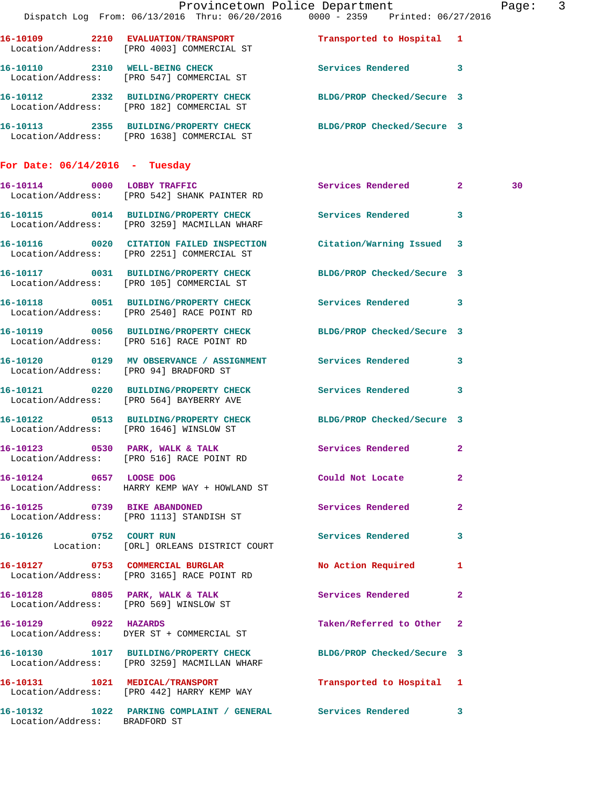|                                        | Dispatch Log From: 06/13/2016 Thru: 06/20/2016 0000 - 2359 Printed: 06/27/2016                                   | Provincetown Police Department |              | Page: 3 |  |
|----------------------------------------|------------------------------------------------------------------------------------------------------------------|--------------------------------|--------------|---------|--|
|                                        | 16-10109 2210 EVALUATION/TRANSPORT Transported to Hospital 1 Location/Address: [PRO 4003] COMMERCIAL ST          |                                |              |         |  |
|                                        | 16-10110 2310 WELL-BEING CHECK<br>Location/Address: [PRO 547] COMMERCIAL ST                                      | Services Rendered 3            |              |         |  |
|                                        | 16-10112 2332 BUILDING/PROPERTY CHECK BLDG/PROP Checked/Secure 3<br>Location/Address: [PRO 182] COMMERCIAL ST    |                                |              |         |  |
|                                        | 16-10113 2355 BUILDING/PROPERTY CHECK BLDG/PROP Checked/Secure 3<br>Location/Address: [PRO 1638] COMMERCIAL ST   |                                |              |         |  |
| For Date: $06/14/2016$ - Tuesday       |                                                                                                                  |                                |              |         |  |
|                                        | 16-10114 0000 LOBBY TRAFFIC<br>Location/Address: [PRO 542] SHANK PAINTER RD                                      | Services Rendered 2            |              | 30      |  |
|                                        | 16-10115 0014 BUILDING/PROPERTY CHECK Services Rendered 3<br>Location/Address: [PRO 3259] MACMILLAN WHARF        |                                |              |         |  |
|                                        | 16-10116 0020 CITATION FAILED INSPECTION Citation/Warning Issued 3<br>Location/Address: [PRO 2251] COMMERCIAL ST |                                |              |         |  |
|                                        | 16-10117 0031 BUILDING/PROPERTY CHECK<br>Location/Address: [PRO 105] COMMERCIAL ST                               | BLDG/PROP Checked/Secure 3     |              |         |  |
|                                        | 16-10118 0051 BUILDING/PROPERTY CHECK Services Rendered 3<br>Location/Address: [PRO 2540] RACE POINT RD          |                                |              |         |  |
|                                        | 16-10119 0056 BUILDING/PROPERTY CHECK<br>Location/Address: [PRO 516] RACE POINT RD                               | BLDG/PROP Checked/Secure 3     |              |         |  |
| Location/Address: [PRO 94] BRADFORD ST | 16-10120 0129 MV OBSERVANCE / ASSIGNMENT Services Rendered 3                                                     |                                |              |         |  |
|                                        | 16-10121 0220 BUILDING/PROPERTY CHECK Services Rendered 3<br>Location/Address: [PRO 564] BAYBERRY AVE            |                                |              |         |  |
|                                        | 16-10122 0513 BUILDING/PROPERTY CHECK BLDG/PROP Checked/Secure 3<br>Location/Address: [PRO 1646] WINSLOW ST      |                                |              |         |  |
|                                        | 16-10123 0530 PARK, WALK & TALK<br>Location/Address: [PRO 516] RACE POINT RD                                     | Services Rendered              | $\mathbf{2}$ |         |  |
| 16-10124 0657 LOOSE DOG                | Location/Address: HARRY KEMP WAY + HOWLAND ST                                                                    | Could Not Locate               | $\mathbf{2}$ |         |  |
|                                        | 16-10125 0739 BIKE ABANDONED<br>Location/Address: [PRO 1113] STANDISH ST                                         | Services Rendered              | $\mathbf{2}$ |         |  |
| 16-10126 0752 COURT RUN                | Location: [ORL] ORLEANS DISTRICT COURT                                                                           | Services Rendered 3            |              |         |  |
|                                        | 16-10127 0753 COMMERCIAL BURGLAR<br>Location/Address: [PRO 3165] RACE POINT RD                                   | No Action Required             | $\mathbf{1}$ |         |  |
|                                        | 16-10128 0805 PARK, WALK & TALK<br>Location/Address: [PRO 569] WINSLOW ST                                        | Services Rendered 2            |              |         |  |
|                                        | 16-10129 0922 HAZARDS<br>Location/Address: DYER ST + COMMERCIAL ST                                               | Taken/Referred to Other 2      |              |         |  |
|                                        | 16-10130 1017 BUILDING/PROPERTY CHECK BLDG/PROP Checked/Secure 3<br>Location/Address: [PRO 3259] MACMILLAN WHARF |                                |              |         |  |
|                                        | 16-10131 1021 MEDICAL/TRANSPORT<br>Location/Address: [PRO 442] HARRY KEMP WAY                                    | Transported to Hospital 1      |              |         |  |
| Location/Address: BRADFORD ST          | 16-10132 1022 PARKING COMPLAINT / GENERAL Services Rendered 3                                                    |                                |              |         |  |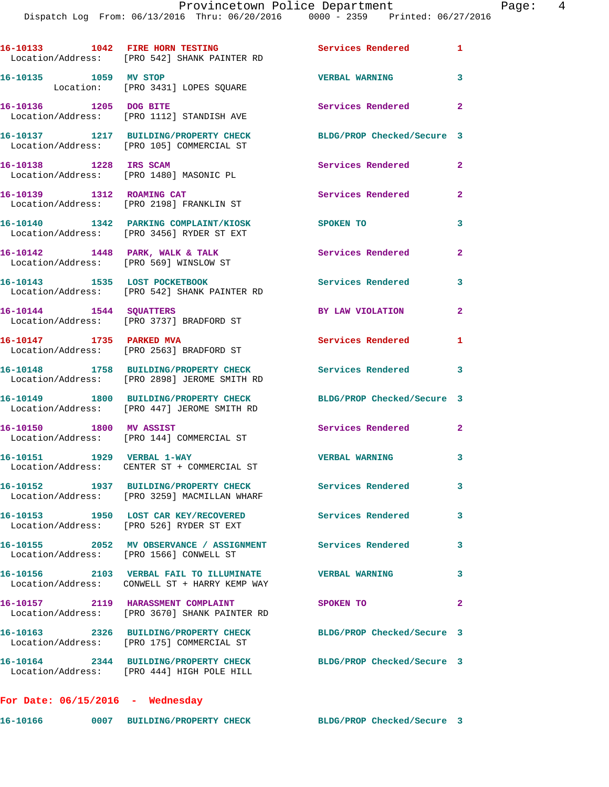|                                    | 16-10133 1042 FIRE HORN TESTING<br>Location/Address: [PRO 542] SHANK PAINTER RD                                | <b>Services Rendered</b>   | $\mathbf{1}$   |
|------------------------------------|----------------------------------------------------------------------------------------------------------------|----------------------------|----------------|
| 16-10135 1059 MV STOP              | Location: [PRO 3431] LOPES SQUARE                                                                              | <b>VERBAL WARNING</b>      | 3              |
| 16-10136 1205 DOG BITE             | Location/Address: [PRO 1112] STANDISH AVE                                                                      | Services Rendered 2        |                |
|                                    | 16-10137 1217 BUILDING/PROPERTY CHECK<br>Location/Address: [PRO 105] COMMERCIAL ST                             | BLDG/PROP Checked/Secure 3 |                |
| 16-10138 1228 IRS SCAM             | Location/Address: [PRO 1480] MASONIC PL                                                                        | Services Rendered          | $\mathbf{2}$   |
|                                    | 16-10139 1312 ROAMING CAT<br>Location/Address: [PRO 2198] FRANKLIN ST                                          | Services Rendered          | $\mathbf{2}$   |
|                                    | 16-10140 1342 PARKING COMPLAINT/KIOSK<br>Location/Address: [PRO 3456] RYDER ST EXT                             | SPOKEN TO                  | 3              |
|                                    | 16-10142 1448 PARK, WALK & TALK<br>Location/Address: [PRO 569] WINSLOW ST                                      | Services Rendered          | $\overline{2}$ |
| 16-10143 1535 LOST POCKETBOOK      | Location/Address: [PRO 542] SHANK PAINTER RD                                                                   | <b>Services Rendered</b>   | 3              |
| 16-10144 1544 SQUATTERS            | Location/Address: [PRO 3737] BRADFORD ST                                                                       | BY LAW VIOLATION           | $\mathbf{2}$   |
| 16-10147 1735 PARKED MVA           | Location/Address: [PRO 2563] BRADFORD ST                                                                       | Services Rendered          | 1              |
|                                    | 16-10148 1758 BUILDING/PROPERTY CHECK Services Rendered 3<br>Location/Address: [PRO 2898] JEROME SMITH RD      |                            |                |
|                                    | 16-10149 1800 BUILDING/PROPERTY CHECK<br>Location/Address: [PRO 447] JEROME SMITH RD                           | BLDG/PROP Checked/Secure 3 |                |
| 16-10150 1800 MV ASSIST            | Location/Address: [PRO 144] COMMERCIAL ST                                                                      | Services Rendered 2        |                |
|                                    | 16-10151 1929 VERBAL 1-WAY<br>Location/Address: CENTER ST + COMMERCIAL ST                                      | <b>VERBAL WARNING</b>      | 3              |
|                                    | 16-10152 1937 BUILDING/PROPERTY CHECK<br>Location/Address: [PRO 3259] MACMILLAN WHARF                          | Services Rendered          | 3              |
|                                    | 16-10153 1950 LOST CAR KEY/RECOVERED<br>Location/Address: [PRO 526] RYDER ST EXT                               | <b>Services Rendered</b>   | $\mathbf{3}$   |
|                                    | 16-10155 2052 MV OBSERVANCE / ASSIGNMENT Services Rendered<br>Location/Address: [PRO 1566] CONWELL ST          |                            | 3              |
|                                    | 16-10156 2103 VERBAL FAIL TO ILLUMINATE<br>Location/Address: CONWELL ST + HARRY KEMP WAY                       | <b>VERBAL WARNING</b>      | 3              |
|                                    | 16-10157 2119 HARASSMENT COMPLAINT<br>Location/Address: [PRO 3670] SHANK PAINTER RD                            | SPOKEN TO                  | $\mathbf{2}$   |
|                                    | 16-10163 2326 BUILDING/PROPERTY CHECK<br>Location/Address: [PRO 175] COMMERCIAL ST                             | BLDG/PROP Checked/Secure 3 |                |
|                                    | 16-10164 2344 BUILDING/PROPERTY CHECK BLDG/PROP Checked/Secure 3<br>Location/Address: [PRO 444] HIGH POLE HILL |                            |                |
| For Date: $06/15/2016$ - Wednesday |                                                                                                                |                            |                |
|                                    |                                                                                                                |                            |                |

**16-10166 0007 BUILDING/PROPERTY CHECK BLDG/PROP Checked/Secure 3**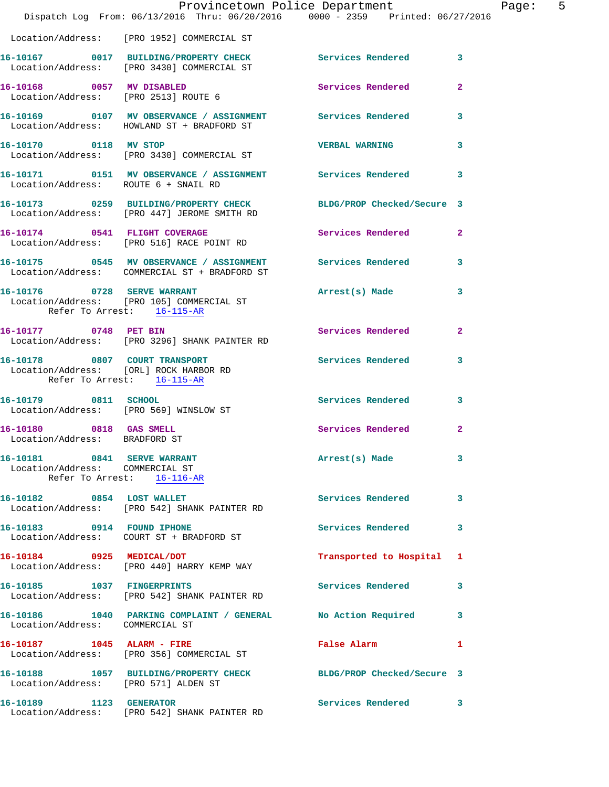|                                                                      | Dispatch Log From: 06/13/2016 Thru: 06/20/2016 0000 - 2359 Printed: 06/27/2016                                  | Provincetown Police Department |              | Page: 5 |  |
|----------------------------------------------------------------------|-----------------------------------------------------------------------------------------------------------------|--------------------------------|--------------|---------|--|
|                                                                      | Location/Address: [PRO 1952] COMMERCIAL ST                                                                      |                                |              |         |  |
|                                                                      | 16-10167 0017 BUILDING/PROPERTY CHECK Services Rendered 3<br>Location/Address: [PRO 3430] COMMERCIAL ST         |                                |              |         |  |
| Location/Address: [PRO 2513] ROUTE 6                                 | 16-10168 0057 MV DISABLED                                                                                       | Services Rendered              | $\mathbf{2}$ |         |  |
|                                                                      | 16-10169 0107 MV OBSERVANCE / ASSIGNMENT Services Rendered 3<br>Location/Address: HOWLAND ST + BRADFORD ST      |                                |              |         |  |
|                                                                      | 16-10170 0118 MV STOP<br>Location/Address: [PRO 3430] COMMERCIAL ST                                             | <b>VERBAL WARNING</b>          | 3            |         |  |
| Location/Address: ROUTE 6 + SNAIL RD                                 | 16-10171 0151 MV OBSERVANCE / ASSIGNMENT Services Rendered 3                                                    |                                |              |         |  |
|                                                                      | 16-10173 0259 BUILDING/PROPERTY CHECK BLDG/PROP Checked/Secure 3<br>Location/Address: [PRO 447] JEROME SMITH RD |                                |              |         |  |
|                                                                      | 16-10174 0541 FLIGHT COVERAGE<br>Location/Address: [PRO 516] RACE POINT RD                                      | Services Rendered              | $\mathbf{2}$ |         |  |
|                                                                      | 16-10175 0545 MV OBSERVANCE / ASSIGNMENT Services Rendered 3<br>Location/Address: COMMERCIAL ST + BRADFORD ST   |                                |              |         |  |
| Refer To Arrest: 16-115-AR                                           | 16-10176 0728 SERVE WARRANT<br>Location/Address: [PRO 105] COMMERCIAL ST                                        | Arrest(s) Made                 | 3            |         |  |
| 16-10177 0748 PET BIN                                                | Location/Address: [PRO 3296] SHANK PAINTER RD                                                                   | Services Rendered 2            |              |         |  |
| Location/Address: [ORL] ROCK HARBOR RD<br>Refer To Arrest: 16-115-AR | 16-10178 0807 COURT TRANSPORT                                                                                   | <b>Services Rendered</b>       | 3            |         |  |
| 16-10179 0811 SCHOOL                                                 | Location/Address: [PRO 569] WINSLOW ST                                                                          | Services Rendered              | 3            |         |  |
| 16-10180 0818 GAS SMELL<br>Location/Address: BRADFORD ST             |                                                                                                                 | Services Rendered              | $\mathbf{2}$ |         |  |
| 16-10181 0841 SERVE WARRANT<br>Location/Address: COMMERCIAL ST       | Refer To Arrest: 16-116-AR                                                                                      | Arrest(s) Made 3               |              |         |  |
|                                                                      | 16-10182 0854 LOST WALLET<br>Location/Address: [PRO 542] SHANK PAINTER RD                                       | Services Rendered              | 3            |         |  |
| 16-10183 0914 FOUND IPHONE                                           | Location/Address: COURT ST + BRADFORD ST                                                                        | Services Rendered              | 3            |         |  |
|                                                                      | 16-10184 0925 MEDICAL/DOT<br>Location/Address: [PRO 440] HARRY KEMP WAY                                         | Transported to Hospital 1      |              |         |  |
| 16-10185 1037 FINGERPRINTS                                           | Location/Address: [PRO 542] SHANK PAINTER RD                                                                    | Services Rendered 3            |              |         |  |
| Location/Address: COMMERCIAL ST                                      | 16-10186 1040 PARKING COMPLAINT / GENERAL No Action Required 3                                                  |                                |              |         |  |
|                                                                      | 16-10187 1045 ALARM - FIRE<br>Location/Address: [PRO 356] COMMERCIAL ST                                         | False Alarm                    | 1            |         |  |
| Location/Address: [PRO 571] ALDEN ST                                 | 16-10188 1057 BUILDING/PROPERTY CHECK BLDG/PROP Checked/Secure 3                                                |                                |              |         |  |
| 16-10189 1123 GENERATOR                                              | Location/Address: [PRO 542] SHANK PAINTER RD                                                                    | Services Rendered 3            |              |         |  |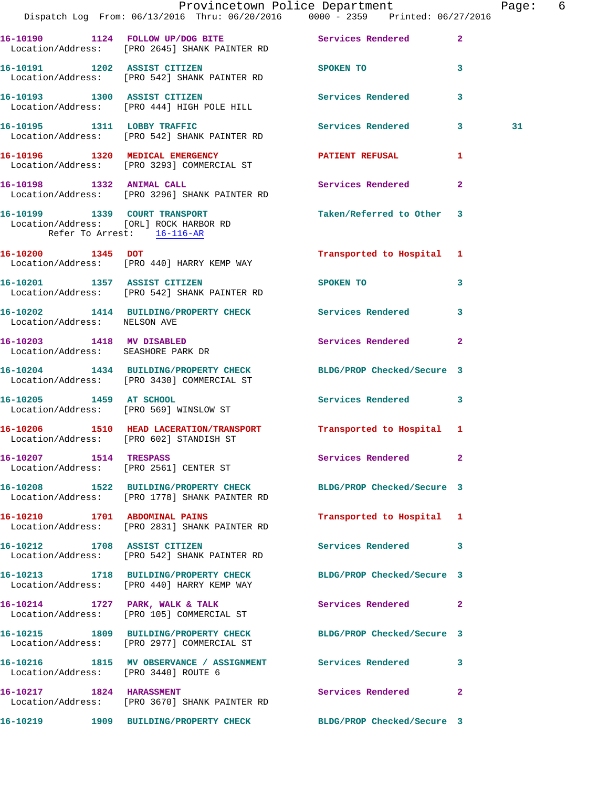|                                                                 | Dispatch Log From: 06/13/2016 Thru: 06/20/2016 0000 - 2359 Printed: 06/27/2016                                    | Provincetown Police Department    | Page: 6        |
|-----------------------------------------------------------------|-------------------------------------------------------------------------------------------------------------------|-----------------------------------|----------------|
|                                                                 | 16-10190 1124 FOLLOW UP/DOG BITE Services Rendered<br>Location/Address: [PRO 2645] SHANK PAINTER RD               |                                   | $\overline{2}$ |
| 16-10191 1202 ASSIST CITIZEN                                    | Location/Address: [PRO 542] SHANK PAINTER RD                                                                      | SPOKEN TO                         | 3              |
|                                                                 | 16-10193 1300 ASSIST CITIZEN<br>Location/Address: [PRO 444] HIGH POLE HILL                                        | Services Rendered                 | 3              |
|                                                                 | 16-10195 1311 LOBBY TRAFFIC<br>Location/Address: [PRO 542] SHANK PAINTER RD                                       | Services Rendered 3               | 31             |
|                                                                 | 16-10196 1320 MEDICAL EMERGENCY<br>Location/Address: [PRO 3293] COMMERCIAL ST                                     | <b>PATIENT REFUSAL</b>            | $\mathbf{1}$   |
|                                                                 | 16-10198 1332 ANIMAL CALL<br>Location/Address: [PRO 3296] SHANK PAINTER RD                                        | Services Rendered                 | $\overline{2}$ |
| Refer To Arrest: 16-116-AR                                      | 16-10199 1339 COURT TRANSPORT<br>Location/Address: [ORL] ROCK HARBOR RD                                           | Taken/Referred to Other 3         |                |
|                                                                 | 16-10200 1345 DOT<br>Location/Address: [PRO 440] HARRY KEMP WAY                                                   | Transported to Hospital 1         |                |
|                                                                 | 16-10201 1357 ASSIST CITIZEN<br>Location/Address: [PRO 542] SHANK PAINTER RD                                      | SPOKEN TO AND TO A REAL PROPERTY. | 3              |
| Location/Address: NELSON AVE                                    | 16-10202 1414 BUILDING/PROPERTY CHECK Services Rendered                                                           |                                   | 3              |
| 16-10203 1418 MV DISABLED<br>Location/Address: SEASHORE PARK DR |                                                                                                                   | Services Rendered                 | $\mathbf{2}$   |
|                                                                 | 16-10204 1434 BUILDING/PROPERTY CHECK BLDG/PROP Checked/Secure 3<br>Location/Address: [PRO 3430] COMMERCIAL ST    |                                   |                |
| 16-10205 1459 AT SCHOOL                                         | Location/Address: [PRO 569] WINSLOW ST                                                                            | Services Rendered                 | 3              |
|                                                                 | 16-10206 1510 HEAD LACERATION/TRANSPORT<br>Location/Address: [PRO 602] STANDISH ST                                | Transported to Hospital 1         |                |
| 16-10207 1514 TRESPASS                                          | Location/Address: [PRO 2561] CENTER ST                                                                            | Services Rendered                 | $\mathbf{2}$   |
|                                                                 | 16-10208 1522 BUILDING/PROPERTY CHECK BLDG/PROP Checked/Secure 3<br>Location/Address: [PRO 1778] SHANK PAINTER RD |                                   |                |
|                                                                 | 16-10210 1701 ABDOMINAL PAINS<br>Location/Address: [PRO 2831] SHANK PAINTER RD                                    | Transported to Hospital 1         |                |
|                                                                 | 16-10212 1708 ASSIST CITIZEN<br>Location/Address: [PRO 542] SHANK PAINTER RD                                      | <b>Services Rendered</b>          | 3              |
|                                                                 | 16-10213 1718 BUILDING/PROPERTY CHECK BLDG/PROP Checked/Secure 3<br>Location/Address: [PRO 440] HARRY KEMP WAY    |                                   |                |
|                                                                 | 16-10214 1727 PARK, WALK & TALK<br>Location/Address: [PRO 105] COMMERCIAL ST                                      | Services Rendered                 | $\mathbf{2}$   |
|                                                                 | 16-10215 1809 BUILDING/PROPERTY CHECK BLDG/PROP Checked/Secure 3<br>Location/Address: [PRO 2977] COMMERCIAL ST    |                                   |                |
| Location/Address: [PRO 3440] ROUTE 6                            | 16-10216 1815 MV OBSERVANCE / ASSIGNMENT Services Rendered 3                                                      |                                   |                |
| 16-10217 1824 HARASSMENT                                        | Location/Address: [PRO 3670] SHANK PAINTER RD                                                                     | Services Rendered                 | $\mathbf{2}$   |
|                                                                 | 16-10219 1909 BUILDING/PROPERTY CHECK                                                                             | BLDG/PROP Checked/Secure 3        |                |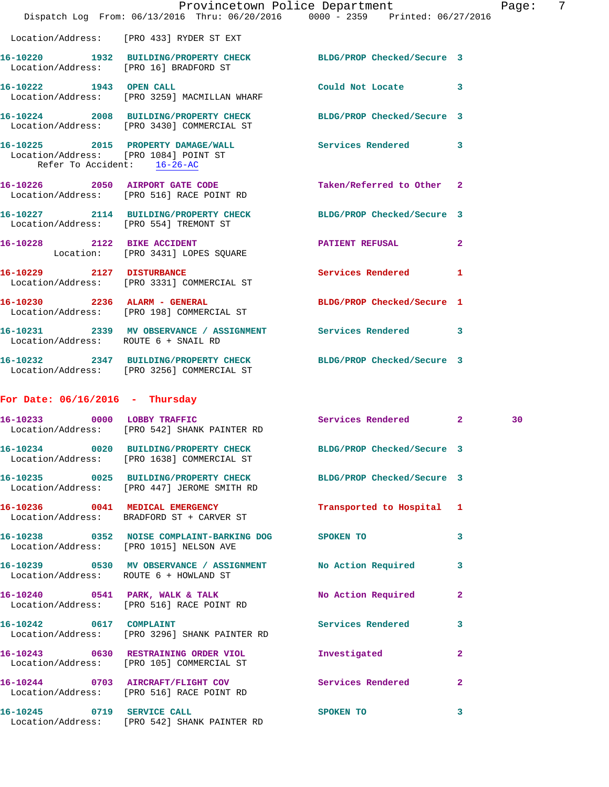|                                                                      | Provincetown Police Department Fage: 7<br>Dispatch Log From: 06/13/2016 Thru: 06/20/2016 0000 - 2359 Printed: 06/27/2016 |                            |              |    |  |
|----------------------------------------------------------------------|--------------------------------------------------------------------------------------------------------------------------|----------------------------|--------------|----|--|
|                                                                      | Location/Address: [PRO 433] RYDER ST EXT                                                                                 |                            |              |    |  |
|                                                                      | 16-10220 1932 BUILDING/PROPERTY CHECK BLDG/PROP Checked/Secure 3<br>Location/Address: [PRO 16] BRADFORD ST               |                            |              |    |  |
|                                                                      | 16-10222 1943 OPEN CALL<br>Location/Address: [PRO 3259] MACMILLAN WHARF                                                  | Could Not Locate 3         |              |    |  |
|                                                                      | 16-10224 2008 BUILDING/PROPERTY CHECK BLDG/PROP Checked/Secure 3<br>Location/Address: [PRO 3430] COMMERCIAL ST           |                            |              |    |  |
| Location/Address: [PRO 1084] POINT ST<br>Refer To Accident: 16-26-AC | 16-10225 2015 PROPERTY DAMAGE/WALL Services Rendered 3                                                                   |                            |              |    |  |
|                                                                      | 16-10226 2050 AIRPORT GATE CODE Taken/Referred to Other 2<br>Location/Address: [PRO 516] RACE POINT RD                   |                            |              |    |  |
|                                                                      | 16-10227 2114 BUILDING/PROPERTY CHECK BLDG/PROP Checked/Secure 3<br>Location/Address: [PRO 554] TREMONT ST               |                            |              |    |  |
|                                                                      | 16-10228 2122 BIKE ACCIDENT<br>Location: [PRO 3431] LOPES SQUARE                                                         | <b>PATIENT REFUSAL 2</b>   |              |    |  |
|                                                                      | 16-10229 2127 DISTURBANCE<br>Location/Address: [PRO 3331] COMMERCIAL ST                                                  | Services Rendered 1        |              |    |  |
|                                                                      | 16-10230 2236 ALARM - GENERAL<br>Location/Address: [PRO 198] COMMERCIAL ST                                               | BLDG/PROP Checked/Secure 1 |              |    |  |
|                                                                      | 16-10231 2339 MV OBSERVANCE / ASSIGNMENT Services Rendered 3<br>Location/Address: ROUTE 6 + SNAIL RD                     |                            |              |    |  |
|                                                                      | 16-10232 2347 BUILDING/PROPERTY CHECK BLDG/PROP Checked/Secure 3<br>Location/Address: [PRO 3256] COMMERCIAL ST           |                            |              |    |  |
| For Date: $06/16/2016$ - Thursday                                    |                                                                                                                          |                            |              |    |  |
|                                                                      | 16-10233 0000 LOBBY TRAFFIC<br>Location/Address: [PRO 542] SHANK PAINTER RD                                              | Services Rendered 2        |              | 30 |  |
|                                                                      | 16-10234 0020 BUILDING/PROPERTY CHECK<br>Location/Address: [PRO 1638] COMMERCIAL ST                                      | BLDG/PROP Checked/Secure 3 |              |    |  |
|                                                                      | 16-10235 0025 BUILDING/PROPERTY CHECK BLDG/PROP Checked/Secure 3<br>Location/Address: [PRO 447] JEROME SMITH RD          |                            |              |    |  |
|                                                                      | 16-10236 0041 MEDICAL EMERGENCY<br>Location/Address: BRADFORD ST + CARVER ST                                             | Transported to Hospital 1  |              |    |  |
|                                                                      | 16-10238 0352 NOISE COMPLAINT-BARKING DOG SPOKEN TO<br>Location/Address: [PRO 1015] NELSON AVE                           |                            | 3            |    |  |
| Location/Address: ROUTE 6 + HOWLAND ST                               | 16-10239 0530 MV OBSERVANCE / ASSIGNMENT No Action Required                                                              |                            | 3            |    |  |
|                                                                      | 16-10240 0541 PARK, WALK & TALK<br>Location/Address: [PRO 516] RACE POINT RD                                             | No Action Required         | 2            |    |  |
| 16-10242 0617 COMPLAINT                                              | Location/Address: [PRO 3296] SHANK PAINTER RD                                                                            | Services Rendered          | 3            |    |  |
|                                                                      | 16-10243 0630 RESTRAINING ORDER VIOL<br>Location/Address: [PRO 105] COMMERCIAL ST                                        | Investigated               | $\mathbf{2}$ |    |  |
|                                                                      | 16-10244 0703 AIRCRAFT/FLIGHT COV<br>Location/Address: [PRO 516] RACE POINT RD                                           | <b>Services Rendered</b>   | 2            |    |  |
| 16-10245 0719 SERVICE CALL                                           | Location/Address: [PRO 542] SHANK PAINTER RD                                                                             | <b>SPOKEN TO</b>           | 3            |    |  |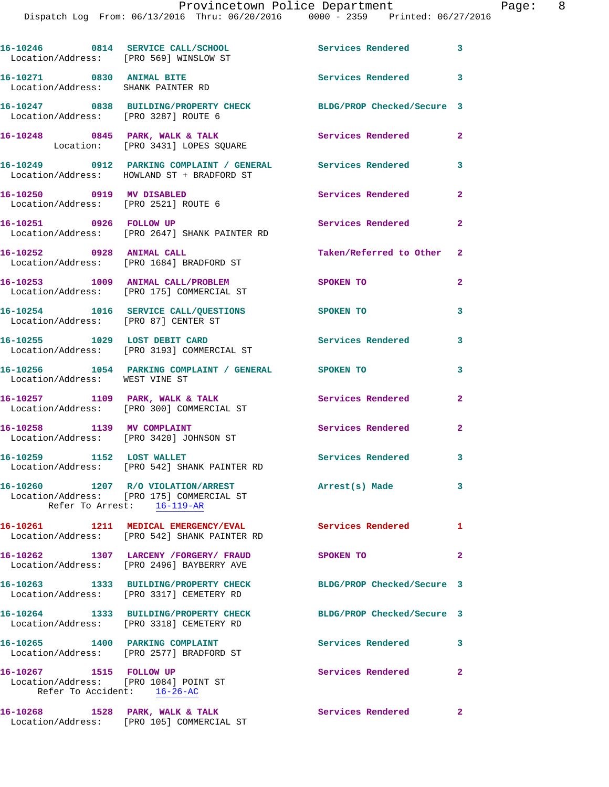| Location/Address: [PRO 569] WINSLOW ST                            | 16-10246 0814 SERVICE CALL/SCHOOL                                                                             | Services Rendered 3                  |                         |
|-------------------------------------------------------------------|---------------------------------------------------------------------------------------------------------------|--------------------------------------|-------------------------|
| 16-10271 0830 ANIMAL BITE<br>Location/Address: SHANK PAINTER RD   |                                                                                                               | Services Rendered 3                  |                         |
| Location/Address: [PRO 3287] ROUTE 6                              | 16-10247 0838 BUILDING/PROPERTY CHECK                                                                         | BLDG/PROP Checked/Secure 3           |                         |
|                                                                   | 16-10248 0845 PARK, WALK & TALK<br>Location: [PRO 3431] LOPES SQUARE                                          | <b>Services Rendered</b>             | $\overline{2}$          |
|                                                                   | 16-10249 0912 PARKING COMPLAINT / GENERAL Services Rendered<br>Location/Address: HOWLAND ST + BRADFORD ST     |                                      | $\overline{\mathbf{3}}$ |
| 16-10250 0919 MV DISABLED<br>Location/Address: [PRO 2521] ROUTE 6 |                                                                                                               | Services Rendered                    | $\overline{\mathbf{2}}$ |
| 16-10251 0926 FOLLOW UP                                           | Location/Address: [PRO 2647] SHANK PAINTER RD                                                                 | Services Rendered 2                  |                         |
|                                                                   | 16-10252 0928 ANIMAL CALL<br>Location/Address: [PRO 1684] BRADFORD ST                                         | Taken/Referred to Other 2            |                         |
|                                                                   | 16-10253 1009 ANIMAL CALL/PROBLEM<br>Location/Address: [PRO 175] COMMERCIAL ST                                | SPOKEN TO                            | $\overline{2}$          |
| Location/Address: [PRO 87] CENTER ST                              | 16-10254 1016 SERVICE CALL/QUESTIONS                                                                          | SPOKEN TO                            | 3                       |
|                                                                   | 16-10255 1029 LOST DEBIT CARD<br>Location/Address: [PRO 3193] COMMERCIAL ST                                   | Services Rendered                    | 3                       |
| Location/Address: WEST VINE ST                                    | 16-10256 1054 PARKING COMPLAINT / GENERAL SPOKEN TO                                                           |                                      | 3                       |
|                                                                   | $16 - 10257$ 1109 PARK, WALK & TALK<br>Location/Address: [PRO 300] COMMERCIAL ST                              | Services Rendered                    | $\overline{2}$          |
|                                                                   | 16-10258 1139 MV COMPLAINT<br>Location/Address: [PRO 3420] JOHNSON ST                                         | <b>Services Rendered</b>             | $\overline{a}$          |
| 16-10259 1152 LOST WALLET                                         | Location/Address: [PRO 542] SHANK PAINTER RD                                                                  | Services Rendered 3                  |                         |
|                                                                   | 16-10260 1207 R/O VIOLATION/ARREST<br>Location/Address: [PRO 175] COMMERCIAL ST<br>Refer To Arrest: 16-119-AR | Arrest(s) Made                       | $\overline{\mathbf{3}}$ |
|                                                                   | 16-10261 1211 MEDICAL EMERGENCY/EVAL<br>Location/Address: [PRO 542] SHANK PAINTER RD                          | Services Rendered 1                  |                         |
|                                                                   | 16-10262 1307 LARCENY /FORGERY/ FRAUD<br>Location/Address: [PRO 2496] BAYBERRY AVE                            | SPOKEN TO                            | $\overline{a}$          |
|                                                                   | 16-10263 1333 BUILDING/PROPERTY CHECK<br>Location/Address: [PRO 3317] CEMETERY RD                             | BLDG/PROP Checked/Secure 3           |                         |
|                                                                   | 16-10264 1333 BUILDING/PROPERTY CHECK<br>Location/Address: [PRO 3318] CEMETERY RD                             | BLDG/PROP Checked/Secure 3           |                         |
| 16-10265 1400 PARKING COMPLAINT                                   | Location/Address: [PRO 2577] BRADFORD ST                                                                      | <b>Services Rendered</b>             | 3                       |
| 16-10267 1515 FOLLOW UP<br>Location/Address: [PRO 1084] POINT ST  | Refer To Accident: 16-26-AC                                                                                   | Services Rendered                    | $\mathbf{2}$            |
|                                                                   | 16-10268 1528 PARK, WALK & TALK<br>Location/Address: [PRO 105] COMMERCIAL ST                                  | <b>Services Rendered</b><br>$\sim$ 2 |                         |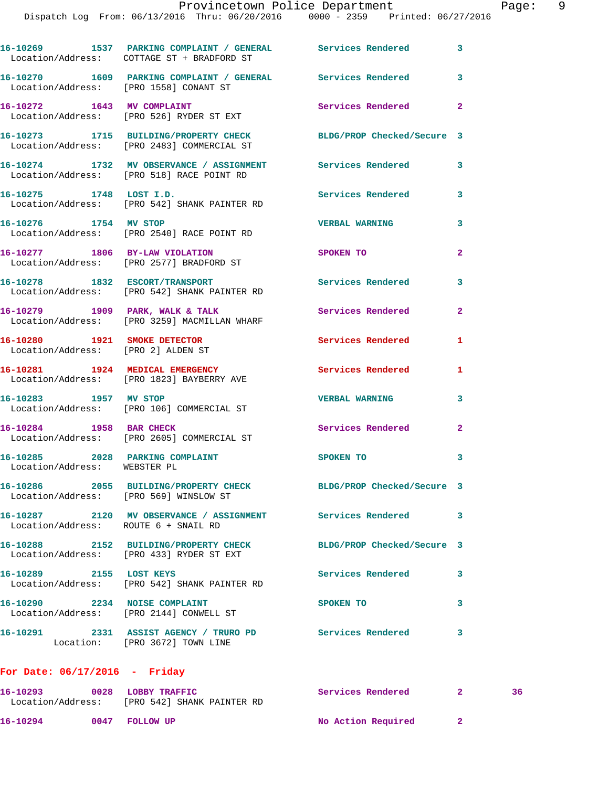|                                        | 16-10269 1537 PARKING COMPLAINT / GENERAL Services Rendered<br>Location/Address: COTTAGE ST + BRADFORD ST      |                            | $\mathbf{3}$   |    |
|----------------------------------------|----------------------------------------------------------------------------------------------------------------|----------------------------|----------------|----|
|                                        | 16-10270 1609 PARKING COMPLAINT / GENERAL Services Rendered<br>Location/Address: [PRO 1558] CONANT ST          |                            | 3              |    |
|                                        | 16-10272 1643 MV COMPLAINT<br>Location/Address: [PRO 526] RYDER ST EXT                                         | Services Rendered          | $\overline{a}$ |    |
|                                        | 16-10273 1715 BUILDING/PROPERTY CHECK BLDG/PROP Checked/Secure 3<br>Location/Address: [PRO 2483] COMMERCIAL ST |                            |                |    |
|                                        | 16-10274 1732 MV OBSERVANCE / ASSIGNMENT Services Rendered<br>Location/Address: [PRO 518] RACE POINT RD        |                            | 3              |    |
|                                        | 16-10275 1748 LOST I.D.<br>Location/Address: [PRO 542] SHANK PAINTER RD                                        | Services Rendered          | 3              |    |
| 16-10276 1754 MV STOP                  | Location/Address: [PRO 2540] RACE POINT RD                                                                     | <b>VERBAL WARNING</b>      | 3              |    |
|                                        | 16-10277 1806 BY-LAW VIOLATION<br>Location/Address: [PRO 2577] BRADFORD ST                                     | <b>SPOKEN TO</b>           | $\overline{a}$ |    |
|                                        | 16-10278 1832 ESCORT/TRANSPORT<br>Location/Address: [PRO 542] SHANK PAINTER RD                                 | Services Rendered          | 3              |    |
|                                        | 16-10279 1909 PARK, WALK & TALK<br>Location/Address: [PRO 3259] MACMILLAN WHARF                                | Services Rendered          | $\overline{a}$ |    |
| Location/Address: [PRO 2] ALDEN ST     | 16-10280 1921 SMOKE DETECTOR                                                                                   | Services Rendered          | 1              |    |
|                                        | 16-10281 1924 MEDICAL EMERGENCY Services Rendered<br>Location/Address: [PRO 1823] BAYBERRY AVE                 |                            | 1              |    |
|                                        | 16-10283 1957 MV STOP<br>Location/Address: [PRO 106] COMMERCIAL ST                                             | <b>VERBAL WARNING</b>      | 3              |    |
| 16-10284 1958 BAR CHECK                | Location/Address: [PRO 2605] COMMERCIAL ST                                                                     | Services Rendered          | $\mathbf{2}$   |    |
| Location/Address: WEBSTER PL           | 16-10285 2028 PARKING COMPLAINT SPOKEN TO                                                                      |                            | 3              |    |
| Location/Address: [PRO 569] WINSLOW ST | 16-10286 2055 BUILDING/PROPERTY CHECK BLDG/PROP Checked/Secure 3                                               |                            |                |    |
| Location/Address: ROUTE 6 + SNAIL RD   | 16-10287 2120 MV OBSERVANCE / ASSIGNMENT Services Rendered                                                     |                            | 3              |    |
|                                        | 16-10288 2152 BUILDING/PROPERTY CHECK<br>Location/Address: [PRO 433] RYDER ST EXT                              | BLDG/PROP Checked/Secure 3 |                |    |
| 16-10289 2155 LOST KEYS                | Location/Address: [PRO 542] SHANK PAINTER RD                                                                   | <b>Services Rendered</b>   | 3              |    |
| 16-10290 2234 NOISE COMPLAINT          | Location/Address: [PRO 2144] CONWELL ST                                                                        | SPOKEN TO                  | 3              |    |
|                                        | 16-10291 2331 ASSIST AGENCY / TRURO PD Services Rendered<br>Location: [PRO 3672] TOWN LINE                     |                            | 3              |    |
| For Date: $06/17/2016$ - Friday        |                                                                                                                |                            |                |    |
|                                        | 16-10293 0028 LOBBY TRAFFIC<br>Location/Address: [PRO 542] SHANK PAINTER RD                                    | Services Rendered          | $\mathbf{2}$   | 36 |

16-10294 0047 FOLLOW UP No Action Required 2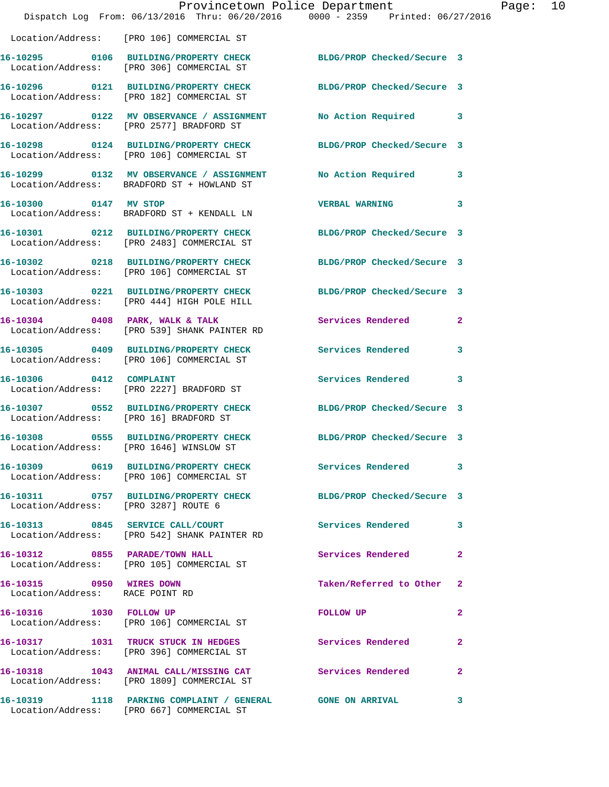|                                                             | Provincetown Police Department<br>Dispatch Log From: 06/13/2016 Thru: 06/20/2016 0000 - 2359 Printed: 06/27/2016 |                            |              |
|-------------------------------------------------------------|------------------------------------------------------------------------------------------------------------------|----------------------------|--------------|
|                                                             | Location/Address: [PRO 106] COMMERCIAL ST                                                                        |                            |              |
|                                                             | 16-10295 0106 BUILDING/PROPERTY CHECK<br>Location/Address: [PRO 306] COMMERCIAL ST                               | BLDG/PROP Checked/Secure 3 |              |
|                                                             | 16-10296 0121 BUILDING/PROPERTY CHECK<br>Location/Address: [PRO 182] COMMERCIAL ST                               | BLDG/PROP Checked/Secure 3 |              |
|                                                             | 16-10297 0122 MV OBSERVANCE / ASSIGNMENT<br>Location/Address: [PRO 2577] BRADFORD ST                             | No Action Required         | 3            |
|                                                             | 16-10298 0124 BUILDING/PROPERTY CHECK<br>Location/Address: [PRO 106] COMMERCIAL ST                               | BLDG/PROP Checked/Secure 3 |              |
|                                                             | 16-10299 0132 MV OBSERVANCE / ASSIGNMENT<br>Location/Address: BRADFORD ST + HOWLAND ST                           | No Action Required         | 3            |
| 16-10300 0147 MV STOP                                       | Location/Address: BRADFORD ST + KENDALL LN                                                                       | <b>VERBAL WARNING</b>      | 3            |
|                                                             | 16-10301 0212 BUILDING/PROPERTY CHECK<br>Location/Address: [PRO 2483] COMMERCIAL ST                              | BLDG/PROP Checked/Secure 3 |              |
|                                                             | 16-10302 0218 BUILDING/PROPERTY CHECK<br>Location/Address: [PRO 106] COMMERCIAL ST                               | BLDG/PROP Checked/Secure 3 |              |
|                                                             | 16-10303 0221 BUILDING/PROPERTY CHECK<br>Location/Address: [PRO 444] HIGH POLE HILL                              | BLDG/PROP Checked/Secure 3 |              |
|                                                             | 16-10304 0408 PARK, WALK & TALK<br>Location/Address: [PRO 539] SHANK PAINTER RD                                  | Services Rendered          | 2            |
|                                                             | 16-10305 0409 BUILDING/PROPERTY CHECK<br>Location/Address: [PRO 106] COMMERCIAL ST                               | Services Rendered          | 3            |
|                                                             | 16-10306 0412 COMPLAINT<br>Location/Address: [PRO 2227] BRADFORD ST                                              | <b>Services Rendered</b>   | 3            |
| Location/Address: [PRO 16] BRADFORD ST                      | 16-10307 0552 BUILDING/PROPERTY CHECK                                                                            | BLDG/PROP Checked/Secure 3 |              |
|                                                             | 16-10308 0555 BUILDING/PROPERTY CHECK<br>Location/Address: [PRO 1646] WINSLOW ST                                 | BLDG/PROP Checked/Secure 3 |              |
|                                                             | 16-10309 0619 BUILDING/PROPERTY CHECK<br>Location/Address: [PRO 106] COMMERCIAL ST                               | Services Rendered          | 3            |
| Location/Address: [PRO 3287] ROUTE 6                        | 16-10311 0757 BUILDING/PROPERTY CHECK                                                                            | BLDG/PROP Checked/Secure 3 |              |
|                                                             | 16-10313 0845 SERVICE CALL/COURT<br>Location/Address: [PRO 542] SHANK PAINTER RD                                 | <b>Services Rendered</b>   | 3            |
|                                                             | 16-10312 0855 PARADE/TOWN HALL<br>Location/Address: [PRO 105] COMMERCIAL ST                                      | Services Rendered          | $\mathbf{2}$ |
| 16-10315 0950 WIRES DOWN<br>Location/Address: RACE POINT RD |                                                                                                                  | Taken/Referred to Other    | 2            |
| 16-10316 1030 FOLLOW UP                                     | Location/Address: [PRO 106] COMMERCIAL ST                                                                        | FOLLOW UP                  | 2            |
|                                                             | 16-10317 1031 TRUCK STUCK IN HEDGES<br>Location/Address: [PRO 396] COMMERCIAL ST                                 | Services Rendered          | $\mathbf{2}$ |
|                                                             | 16-10318 1043 ANIMAL CALL/MISSING CAT<br>Location/Address: [PRO 1809] COMMERCIAL ST                              | Services Rendered          | 2            |
|                                                             | 16-10319 1118 PARKING COMPLAINT / GENERAL GONE ON ARRIVAL<br>Location/Address: [PRO 667] COMMERCIAL ST           |                            | 3            |

Page: 10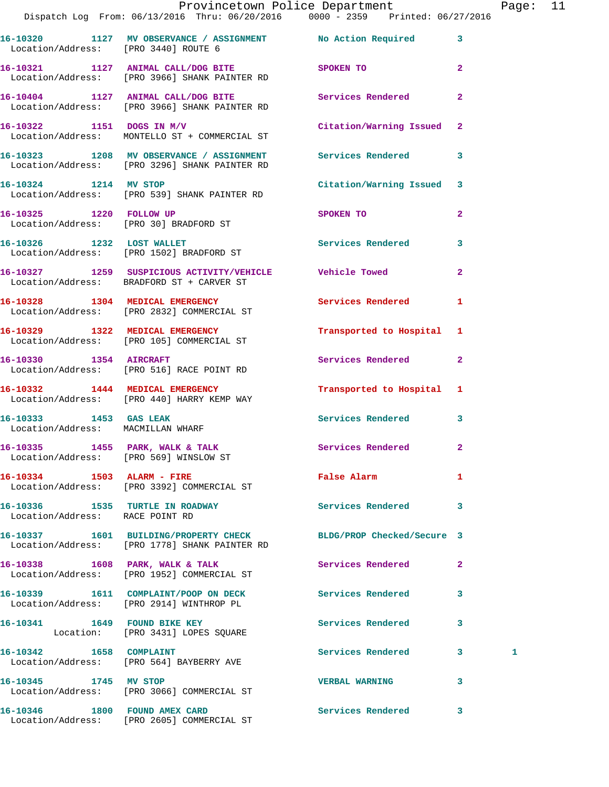|                                        | Dispatch Log From: 06/13/2016 Thru: 06/20/2016 0000 - 2359 Printed: 06/27/2016                                | Provincetown Police Department |                         | Page: 11 |  |
|----------------------------------------|---------------------------------------------------------------------------------------------------------------|--------------------------------|-------------------------|----------|--|
| Location/Address: [PRO 3440] ROUTE 6   | 16-10320 1127 MV OBSERVANCE / ASSIGNMENT No Action Required 3                                                 |                                |                         |          |  |
|                                        | 16-10321 1127 ANIMAL CALL/DOG BITE SPOKEN TO<br>Location/Address: [PRO 3966] SHANK PAINTER RD                 |                                | $\overline{2}$          |          |  |
|                                        | 16-10404 1127 ANIMAL CALL/DOG BITE Services Rendered 2<br>Location/Address: [PRO 3966] SHANK PAINTER RD       |                                |                         |          |  |
|                                        | 16-10322 1151 DOGS IN M/V<br>Location/Address: MONTELLO ST + COMMERCIAL ST                                    | Citation/Warning Issued 2      |                         |          |  |
|                                        | 16-10323 1208 MV OBSERVANCE / ASSIGNMENT Services Rendered 3<br>Location/Address: [PRO 3296] SHANK PAINTER RD |                                |                         |          |  |
|                                        | 16-10324 1214 MV STOP<br>Location/Address: [PRO 539] SHANK PAINTER RD                                         | Citation/Warning Issued 3      |                         |          |  |
| 16-10325 1220 FOLLOW UP                | Location/Address: [PRO 30] BRADFORD ST                                                                        | SPOKEN TO                      | $\mathbf{2}$            |          |  |
|                                        | 16-10326 1232 LOST WALLET<br>Location/Address: [PRO 1502] BRADFORD ST                                         | Services Rendered              | $\overline{\mathbf{3}}$ |          |  |
|                                        | 16-10327 1259 SUSPICIOUS ACTIVITY/VEHICLE Vehicle Towed<br>Location/Address: BRADFORD ST + CARVER ST          |                                | $\overline{2}$          |          |  |
|                                        | 16-10328 1304 MEDICAL EMERGENCY<br>Location/Address: [PRO 2832] COMMERCIAL ST                                 | <b>Services Rendered</b>       | $\mathbf{1}$            |          |  |
|                                        | 16-10329 1322 MEDICAL EMERGENCY<br>Location/Address: [PRO 105] COMMERCIAL ST                                  | Transported to Hospital 1      |                         |          |  |
|                                        | 16-10330 1354 AIRCRAFT<br>Location/Address: [PRO 516] RACE POINT RD                                           | Services Rendered 2            |                         |          |  |
|                                        | 16-10332 1444 MEDICAL EMERGENCY<br>Location/Address: [PRO 440] HARRY KEMP WAY                                 | Transported to Hospital 1      |                         |          |  |
| Location/Address: MACMILLAN WHARF      | 16-10333 1453 GAS LEAK                                                                                        | Services Rendered 3            |                         |          |  |
| Location/Address: [PRO 569] WINSLOW ST | 16-10335 1455 PARK, WALK & TALK                                                                               | Services Rendered 2            |                         |          |  |
|                                        | 16-10334 1503 ALARM - FIRE<br>Location/Address: [PRO 3392] COMMERCIAL ST                                      | <b>False Alarm</b>             | $\mathbf{1}$            |          |  |
| Location/Address: RACE POINT RD        | 16-10336 1535 TURTLE IN ROADWAY                                                                               | Services Rendered 3            |                         |          |  |
|                                        | 16-10337 1601 BUILDING/PROPERTY CHECK<br>Location/Address: [PRO 1778] SHANK PAINTER RD                        | BLDG/PROP Checked/Secure 3     |                         |          |  |
|                                        | 16-10338 1608 PARK, WALK & TALK<br>Location/Address: [PRO 1952] COMMERCIAL ST                                 | Services Rendered              | $\mathbf{2}$            |          |  |
|                                        | 16-10339 1611 COMPLAINT/POOP ON DECK<br>Location/Address: [PRO 2914] WINTHROP PL                              | Services Rendered              | 3                       |          |  |
|                                        | 16-10341 1649 FOUND BIKE KEY<br>Location: [PRO 3431] LOPES SQUARE                                             | Services Rendered              | 3                       |          |  |
|                                        | 16-10342 1658 COMPLAINT<br>Location/Address: [PRO 564] BAYBERRY AVE                                           | Services Rendered 3            |                         | 1        |  |
| 16-10345 1745 MV STOP                  | Location/Address: [PRO 3066] COMMERCIAL ST                                                                    | <b>VERBAL WARNING</b>          | 3                       |          |  |
|                                        | 16-10346 1800 FOUND AMEX CARD                                                                                 | Services Rendered 3            |                         |          |  |

Location/Address: [PRO 2605] COMMERCIAL ST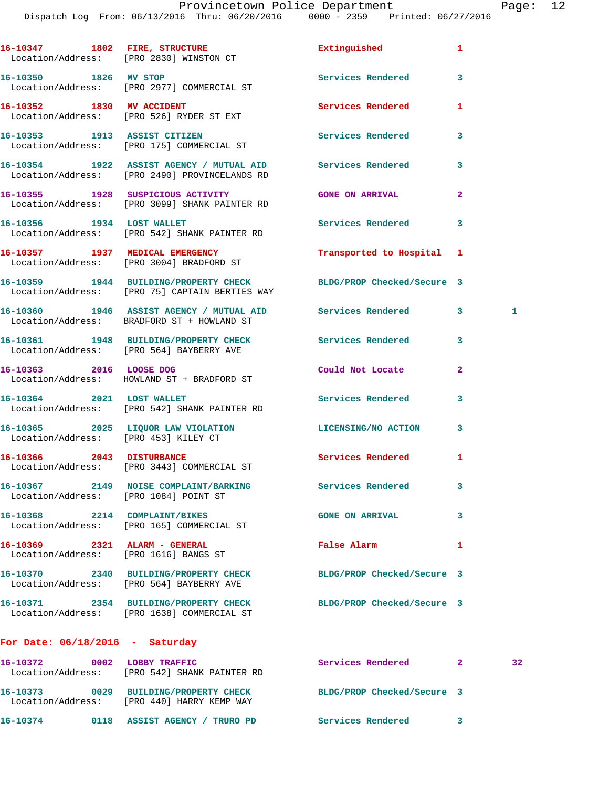|                                                                        | 16-10347 1802 FIRE, STRUCTURE<br>Location/Address: [PRO 2830] WINSTON CT                                    | Extinguished               | 1            |              |
|------------------------------------------------------------------------|-------------------------------------------------------------------------------------------------------------|----------------------------|--------------|--------------|
|                                                                        | 16-10350 1826 MV STOP<br>Location/Address: [PRO 2977] COMMERCIAL ST                                         | <b>Services Rendered</b>   | 3            |              |
|                                                                        | 16-10352 1830 MV ACCIDENT<br>Location/Address: [PRO 526] RYDER ST EXT                                       | <b>Services Rendered</b>   | 1            |              |
|                                                                        | 16-10353 1913 ASSIST CITIZEN<br>Location/Address: [PRO 175] COMMERCIAL ST                                   | <b>Services Rendered</b>   | 3            |              |
|                                                                        | 16-10354 1922 ASSIST AGENCY / MUTUAL AID Services Rendered<br>Location/Address: [PRO 2490] PROVINCELANDS RD |                            | 3            |              |
|                                                                        | 16-10355 1928 SUSPICIOUS ACTIVITY<br>Location/Address: [PRO 3099] SHANK PAINTER RD                          | <b>GONE ON ARRIVAL</b>     | $\mathbf{2}$ |              |
| 16-10356 1934 LOST WALLET                                              | Location/Address: [PRO 542] SHANK PAINTER RD                                                                | Services Rendered          | 3            |              |
|                                                                        | 16-10357 1937 MEDICAL EMERGENCY<br>Location/Address: [PRO 3004] BRADFORD ST                                 | Transported to Hospital 1  |              |              |
|                                                                        | 16-10359 1944 BUILDING/PROPERTY CHECK<br>Location/Address: [PRO 75] CAPTAIN BERTIES WAY                     | BLDG/PROP Checked/Secure 3 |              |              |
|                                                                        | 16-10360 1946 ASSIST AGENCY / MUTUAL AID Services Rendered<br>Location/Address: BRADFORD ST + HOWLAND ST    |                            | $3^{\circ}$  | $\mathbf{1}$ |
|                                                                        | 16-10361 1948 BUILDING/PROPERTY CHECK Services Rendered<br>Location/Address: [PRO 564] BAYBERRY AVE         |                            | 3            |              |
|                                                                        | 16-10363 2016 LOOSE DOG<br>Location/Address: HOWLAND ST + BRADFORD ST                                       | Could Not Locate           | $\mathbf{2}$ |              |
|                                                                        | 16-10364 2021 LOST WALLET<br>Location/Address: [PRO 542] SHANK PAINTER RD                                   | Services Rendered          | 3            |              |
| Location/Address: [PRO 453] KILEY CT                                   | 16-10365 2025 LIQUOR LAW VIOLATION LICENSING/NO ACTION                                                      |                            | $\mathbf{3}$ |              |
|                                                                        | 16-10366 2043 DISTURBANCE<br>Location/Address: [PRO 3443] COMMERCIAL ST                                     | Services Rendered          | 1            |              |
| Location/Address: [PRO 1084] POINT ST                                  | 16-10367 2149 NOISE COMPLAINT/BARKING                                                                       | Services Rendered          | 3            |              |
|                                                                        | 16-10368 2214 COMPLAINT/BIKES<br>Location/Address: [PRO 165] COMMERCIAL ST                                  | <b>GONE ON ARRIVAL</b>     | 3            |              |
| 16-10369 2321 ALARM - GENERAL<br>Location/Address: [PRO 1616] BANGS ST |                                                                                                             | <b>False Alarm</b>         | 1            |              |
|                                                                        | 16-10370 2340 BUILDING/PROPERTY CHECK<br>Location/Address: [PRO 564] BAYBERRY AVE                           | BLDG/PROP Checked/Secure 3 |              |              |
|                                                                        | 16-10371 2354 BUILDING/PROPERTY CHECK<br>Location/Address: [PRO 1638] COMMERCIAL ST                         | BLDG/PROP Checked/Secure 3 |              |              |
| For Date: $06/18/2016$ - Saturday                                      |                                                                                                             |                            |              |              |
|                                                                        |                                                                                                             |                            |              |              |

| 16-10372<br>Location/Address: | 0002 | LOBBY TRAFFIC<br>FPRO 5421 SHANK PAINTER RD                | Services Rendered          | 32 |
|-------------------------------|------|------------------------------------------------------------|----------------------------|----|
| 16-10373<br>Location/Address: | 0029 | <b>BUILDING/PROPERTY CHECK</b><br>[PRO 440] HARRY KEMP WAY | BLDG/PROP Checked/Secure 3 |    |
| 16-10374                      | 0118 | ASSIST AGENCY /<br><b>TRURO PD</b>                         | Services Rendered          |    |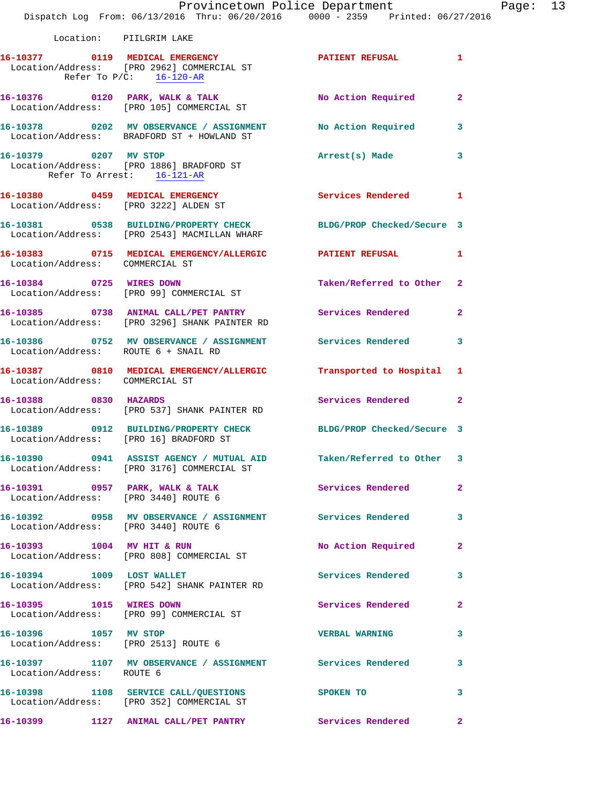|                                        | Provincetown Police Department<br>Dispatch Log From: 06/13/2016 Thru: 06/20/2016 0000 - 2359 Printed: 06/27/2016              |                                        | Page: 13     |
|----------------------------------------|-------------------------------------------------------------------------------------------------------------------------------|----------------------------------------|--------------|
| Location: PIILGRIM LAKE                |                                                                                                                               |                                        |              |
|                                        | 16-10377 0119 MEDICAL EMERGENCY PATIENT REFUSAL 1<br>Location/Address: [PRO 2962] COMMERCIAL ST<br>Refer To $P/C$ : 16-120-AR |                                        |              |
|                                        |                                                                                                                               |                                        |              |
|                                        | 16-10378 0202 MV OBSERVANCE / ASSIGNMENT No Action Required 3<br>Location/Address: BRADFORD ST + HOWLAND ST                   |                                        |              |
| Refer To Arrest: 16-121-AR             | 16-10379 0207 MV STOP<br>Location/Address: [PRO 1886] BRADFORD ST                                                             | Arrest(s) Made                         | $\mathbf{3}$ |
|                                        | 16-10380 0459 MEDICAL EMERGENCY<br>Location/Address: [PRO 3222] ALDEN ST                                                      | Services Rendered 1                    |              |
|                                        | 16-10381 0538 BUILDING/PROPERTY CHECK BLDG/PROP Checked/Secure 3<br>Location/Address: [PRO 2543] MACMILLAN WHARF              |                                        |              |
| Location/Address: COMMERCIAL ST        | 16-10383 0715 MEDICAL EMERGENCY/ALLERGIC PATIENT REFUSAL 1                                                                    |                                        |              |
| 16-10384 0725 WIRES DOWN               | Location/Address: [PRO 99] COMMERCIAL ST                                                                                      | Taken/Referred to Other 2              |              |
|                                        | 16-10385 0738 ANIMAL CALL/PET PANTRY Services Rendered 2<br>Location/Address: [PRO 3296] SHANK PAINTER RD                     |                                        |              |
| Location/Address: ROUTE 6 + SNAIL RD   | 16-10386 0752 MV OBSERVANCE / ASSIGNMENT Services Rendered 3                                                                  |                                        |              |
| Location/Address: COMMERCIAL ST        | 16-10387 0810 MEDICAL EMERGENCY/ALLERGIC Transported to Hospital 1                                                            |                                        |              |
| 16-10388 0830 HAZARDS                  | Location/Address: [PRO 537] SHANK PAINTER RD                                                                                  | Services Rendered 2                    |              |
| Location/Address: [PRO 16] BRADFORD ST | 16-10389 0912 BUILDING/PROPERTY CHECK BLDG/PROP Checked/Secure 3                                                              |                                        |              |
|                                        | 16-10390 0941 ASSIST AGENCY / MUTUAL AID Taken/Referred to Other 3<br>Location/Address: [PRO 3176] COMMERCIAL ST              |                                        |              |
| Location/Address: [PRO 3440] ROUTE 6   | 16-10391 0957 PARK, WALK & TALK 1998 Services Rendered 2                                                                      |                                        |              |
| Location/Address: [PRO 3440] ROUTE 6   | 16-10392 0958 MV OBSERVANCE / ASSIGNMENT Services Rendered 3                                                                  |                                        |              |
|                                        | 16-10393 1004 MV HIT & RUN<br>Location/Address: [PRO 808] COMMERCIAL ST                                                       | No Action Required                     | $\mathbf{2}$ |
| 16-10394 1009 LOST WALLET              | Location/Address: [PRO 542] SHANK PAINTER RD                                                                                  | Services Rendered 3                    |              |
| 16-10395 1015 WIRES DOWN               | Location/Address: [PRO 99] COMMERCIAL ST                                                                                      | Services Rendered                      | $\mathbf{2}$ |
| 16-10396 1057 MV STOP                  | Location/Address: [PRO 2513] ROUTE 6                                                                                          | <b>VERBAL WARNING</b>                  | 3            |
| Location/Address: ROUTE 6              | 16-10397 1107 MV OBSERVANCE / ASSIGNMENT Services Rendered 3                                                                  |                                        |              |
|                                        | 16-10398 1108 SERVICE CALL/QUESTIONS SPOKEN TO<br>Location/Address: [PRO 352] COMMERCIAL ST                                   |                                        | 3            |
|                                        | 16-10399 1127 ANIMAL CALL/PET PANTRY                                                                                          | <b>Services Rendered 22 Services</b> 2 |              |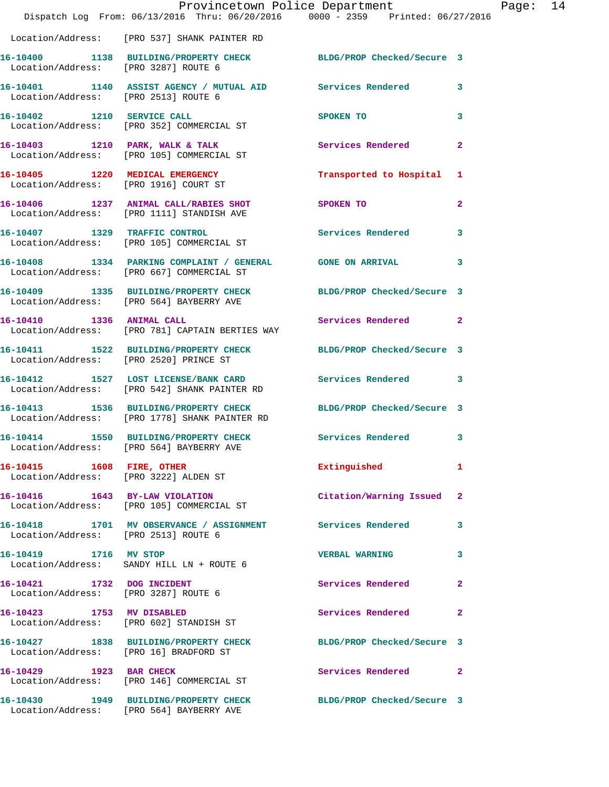|                                                                      | Provincetown Police Department<br>Dispatch Log From: 06/13/2016 Thru: 06/20/2016 0000 - 2359 Printed: 06/27/2016 |                            |              |
|----------------------------------------------------------------------|------------------------------------------------------------------------------------------------------------------|----------------------------|--------------|
|                                                                      | Location/Address: [PRO 537] SHANK PAINTER RD                                                                     |                            |              |
| Location/Address: [PRO 3287] ROUTE 6                                 | 16-10400 1138 BUILDING/PROPERTY CHECK                                                                            | BLDG/PROP Checked/Secure 3 |              |
| Location/Address: [PRO 2513] ROUTE 6                                 | 16-10401 1140 ASSIST AGENCY / MUTUAL AID Services Rendered                                                       |                            | 3            |
| 16-10402 1210 SERVICE CALL                                           | Location/Address: [PRO 352] COMMERCIAL ST                                                                        | <b>SPOKEN TO</b>           | 3            |
|                                                                      | 16-10403 1210 PARK, WALK & TALK<br>Location/Address: [PRO 105] COMMERCIAL ST                                     | Services Rendered          | $\mathbf{2}$ |
| 16-10405 1220 MEDICAL EMERGENCY                                      | Location/Address: [PRO 1916] COURT ST                                                                            | Transported to Hospital    | 1            |
|                                                                      | 16-10406 1237 ANIMAL CALL/RABIES SHOT<br>Location/Address: [PRO 1111] STANDISH AVE                               | SPOKEN TO                  | $\mathbf{2}$ |
| 16-10407 1329 TRAFFIC CONTROL                                        | Location/Address: [PRO 105] COMMERCIAL ST                                                                        | Services Rendered          | 3            |
|                                                                      | 16-10408 1334 PARKING COMPLAINT / GENERAL GONE ON ARRIVAL<br>Location/Address: [PRO 667] COMMERCIAL ST           |                            | 3            |
|                                                                      | 16-10409 1335 BUILDING/PROPERTY CHECK<br>Location/Address: [PRO 564] BAYBERRY AVE                                | BLDG/PROP Checked/Secure 3 |              |
| 16-10410 1336 ANIMAL CALL                                            | Location/Address: [PRO 781] CAPTAIN BERTIES WAY                                                                  | <b>Services Rendered</b>   | $\mathbf{2}$ |
| Location/Address: [PRO 2520] PRINCE ST                               | 16-10411 1522 BUILDING/PROPERTY CHECK BLDG/PROP Checked/Secure 3                                                 |                            |              |
|                                                                      | 16-10412 1527 LOST LICENSE/BANK CARD<br>Location/Address: [PRO 542] SHANK PAINTER RD                             | <b>Services Rendered</b>   | 3            |
|                                                                      | 16-10413 1536 BUILDING/PROPERTY CHECK<br>Location/Address: [PRO 1778] SHANK PAINTER RD                           | BLDG/PROP Checked/Secure 3 |              |
|                                                                      | 16-10414 1550 BUILDING/PROPERTY CHECK Services Rendered<br>Location/Address: [PRO 564] BAYBERRY AVE              |                            | 3            |
| 16-10415    1608    FIRE, OTHER                                      | Location/Address: [PRO 3222] ALDEN ST                                                                            | Extinguished               | 1            |
|                                                                      | 16-10416 1643 BY-LAW VIOLATION<br>Location/Address: [PRO 105] COMMERCIAL ST                                      | Citation/Warning Issued    | $\mathbf{2}$ |
| Location/Address: [PRO 2513] ROUTE 6                                 | 16-10418 1701 MV OBSERVANCE / ASSIGNMENT Services Rendered                                                       |                            | 3            |
| 16-10419 1716 MV STOP                                                | Location/Address: SANDY HILL LN + ROUTE 6                                                                        | <b>VERBAL WARNING</b>      | 3            |
| 16-10421 1732 DOG INCIDENT<br>Location/Address: [PRO 3287] ROUTE 6   |                                                                                                                  | Services Rendered          | 2            |
| 16-10423 1753 MV DISABLED<br>Location/Address: [PRO 602] STANDISH ST |                                                                                                                  | Services Rendered          | 2            |
| Location/Address: [PRO 16] BRADFORD ST                               | 16-10427 1838 BUILDING/PROPERTY CHECK                                                                            | BLDG/PROP Checked/Secure 3 |              |
| 16-10429 1923 BAR CHECK                                              | Location/Address: [PRO 146] COMMERCIAL ST                                                                        | Services Rendered          | $\mathbf{2}$ |
|                                                                      | 16-10430 1949 BUILDING/PROPERTY CHECK<br>Location/Address: [PRO 564] BAYBERRY AVE                                | BLDG/PROP Checked/Secure 3 |              |

Page: 14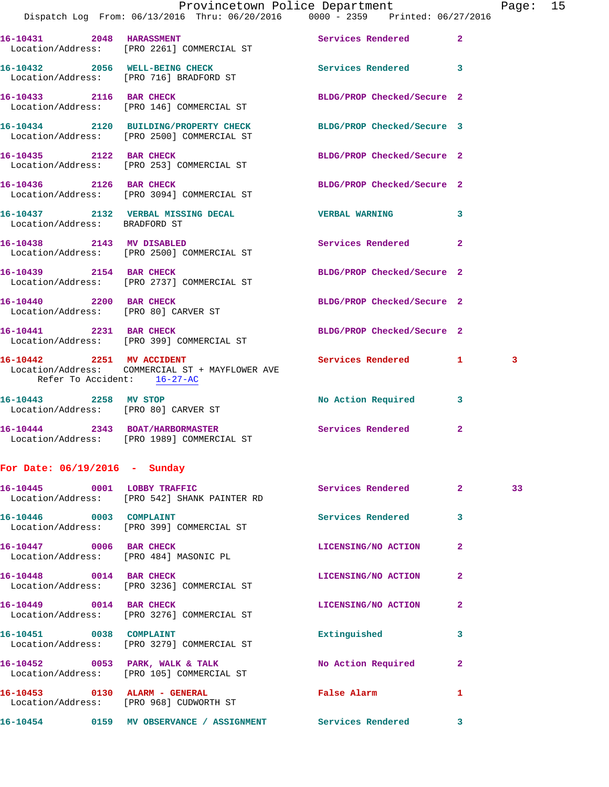|                                 | Provincetown Police Department<br>Dispatch Log From: 06/13/2016 Thru: 06/20/2016 0000 - 2359 Printed: 06/27/2016 |                              |                | Page: 15 |  |
|---------------------------------|------------------------------------------------------------------------------------------------------------------|------------------------------|----------------|----------|--|
|                                 |                                                                                                                  |                              |                |          |  |
|                                 | 16-10431 2048 HARASSMENT<br>Location/Address: [PRO 2261] COMMERCIAL ST                                           | Services Rendered 2          |                |          |  |
|                                 | 16-10432 2056 WELL-BEING CHECK<br>Location/Address: [PRO 716] BRADFORD ST                                        | Services Rendered 3          |                |          |  |
|                                 | 16-10433 2116 BAR CHECK<br>Location/Address: [PRO 146] COMMERCIAL ST                                             | BLDG/PROP Checked/Secure 2   |                |          |  |
|                                 | 16-10434 2120 BUILDING/PROPERTY CHECK BLDG/PROP Checked/Secure 3<br>Location/Address: [PRO 2500] COMMERCIAL ST   |                              |                |          |  |
|                                 | 16-10435 2122 BAR CHECK<br>Location/Address: [PRO 253] COMMERCIAL ST                                             | BLDG/PROP Checked/Secure 2   |                |          |  |
|                                 | 16-10436 2126 BAR CHECK<br>Location/Address: [PRO 3094] COMMERCIAL ST                                            | BLDG/PROP Checked/Secure 2   |                |          |  |
| Location/Address: BRADFORD ST   | 16-10437 2132 VERBAL MISSING DECAL CHERBAL WARNING 3                                                             |                              |                |          |  |
|                                 | 16-10438 2143 MV DISABLED<br>Location/Address: [PRO 2500] COMMERCIAL ST                                          | Services Rendered            | $\overline{2}$ |          |  |
|                                 | 16-10439 2154 BAR CHECK<br>Location/Address: [PRO 2737] COMMERCIAL ST                                            | BLDG/PROP Checked/Secure 2   |                |          |  |
|                                 | 16-10440 2200 BAR CHECK<br>Location/Address: [PRO 80] CARVER ST                                                  | BLDG/PROP Checked/Secure 2   |                |          |  |
|                                 | 16-10441 2231 BAR CHECK<br>Location/Address: [PRO 399] COMMERCIAL ST                                             | BLDG/PROP Checked/Secure 2   |                |          |  |
| Refer To Accident: 16-27-AC     | 16-10442 2251 MV ACCIDENT<br>Location/Address: COMMERCIAL ST + MAYFLOWER AVE                                     | Services Rendered 1          |                | 3        |  |
| 16-10443 2258 MV STOP           | Location/Address: [PRO 80] CARVER ST                                                                             | No Action Required 3         |                |          |  |
|                                 | 16-10444 2343 BOAT/HARBORMASTER<br>Location/Address: [PRO 1989] COMMERCIAL ST                                    | Services Rendered            | $\mathbf{2}$   |          |  |
| For Date: $06/19/2016$ - Sunday |                                                                                                                  |                              |                |          |  |
|                                 | 16-10445 0001 LOBBY TRAFFIC<br>Location/Address: [PRO 542] SHANK PAINTER RD                                      | Services Rendered 2          |                | 33       |  |
| 16-10446 0003 COMPLAINT         | Location/Address: [PRO 399] COMMERCIAL ST                                                                        | Services Rendered 3          |                |          |  |
| 16-10447 0006 BAR CHECK         | Location/Address: [PRO 484] MASONIC PL                                                                           | LICENSING/NO ACTION          | $\mathbf{2}$   |          |  |
| 16-10448 0014 BAR CHECK         | Location/Address: [PRO 3236] COMMERCIAL ST                                                                       | LICENSING/NO ACTION 2        |                |          |  |
|                                 | 16-10449 0014 BAR CHECK<br>Location/Address: [PRO 3276] COMMERCIAL ST                                            | LICENSING/NO ACTION          | $\mathbf{2}$   |          |  |
| 16-10451 0038 COMPLAINT         | Location/Address: [PRO 3279] COMMERCIAL ST                                                                       | Extinguished                 | 3              |          |  |
|                                 | 16-10452 0053 PARK, WALK & TALK<br>Location/Address: [PRO 105] COMMERCIAL ST                                     | No Action Required 2         |                |          |  |
|                                 | 16-10453 0130 ALARM - GENERAL<br>Location/Address: [PRO 968] CUDWORTH ST                                         | False Alarm <b>Example 2</b> | $\mathbf{1}$   |          |  |
|                                 | 16-10454      0159   MV OBSERVANCE / ASSIGNMENT       Services Rendered      3                                   |                              |                |          |  |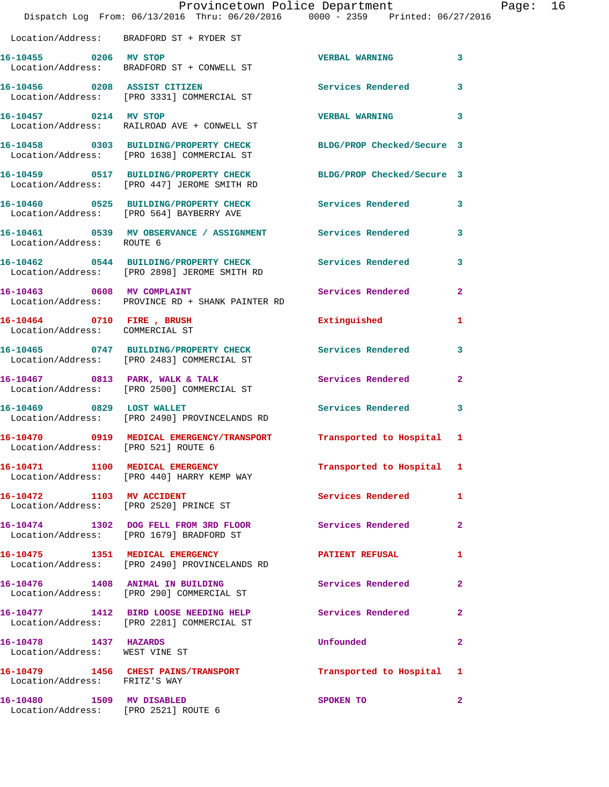|                                                                   | Dispatch Log From: 06/13/2016 Thru: 06/20/2016 0000 - 2359 Printed: 06/27/2016                                  | Provincetown Police Department |                | Page: 16 |  |
|-------------------------------------------------------------------|-----------------------------------------------------------------------------------------------------------------|--------------------------------|----------------|----------|--|
|                                                                   | Location/Address: BRADFORD ST + RYDER ST                                                                        |                                |                |          |  |
| 16-10455 0206 MV STOP                                             | Location/Address: BRADFORD ST + CONWELL ST                                                                      | VERBAL WARNING 3               |                |          |  |
|                                                                   | 16-10456 0208 ASSIST CITIZEN<br>Location/Address: [PRO 3331] COMMERCIAL ST                                      | Services Rendered              | $\mathbf{3}$   |          |  |
| 16-10457 0214 MV STOP                                             | Location/Address: RAILROAD AVE + CONWELL ST                                                                     | VERBAL WARNING 3               |                |          |  |
|                                                                   | 16-10458 0303 BUILDING/PROPERTY CHECK BLDG/PROP Checked/Secure 3<br>Location/Address: [PRO 1638] COMMERCIAL ST  |                                |                |          |  |
|                                                                   | 16-10459 0517 BUILDING/PROPERTY CHECK BLDG/PROP Checked/Secure 3<br>Location/Address: [PRO 447] JEROME SMITH RD |                                |                |          |  |
|                                                                   | 16-10460 0525 BUILDING/PROPERTY CHECK Services Rendered 3<br>Location/Address: [PRO 564] BAYBERRY AVE           |                                |                |          |  |
| Location/Address: ROUTE 6                                         | 16-10461 0539 MV OBSERVANCE / ASSIGNMENT Services Rendered                                                      |                                | 3              |          |  |
|                                                                   | 16-10462 0544 BUILDING/PROPERTY CHECK Services Rendered<br>Location/Address: [PRO 2898] JEROME SMITH RD         |                                | $\mathbf{3}$   |          |  |
| 16-10463 0608 MV COMPLAINT                                        | Location/Address: PROVINCE RD + SHANK PAINTER RD                                                                | Services Rendered              | $\overline{2}$ |          |  |
| Location/Address: COMMERCIAL ST                                   | 16-10464 0710 FIRE, BRUSH                                                                                       | Extinguished                   | 1              |          |  |
|                                                                   | 16-10465 0747 BUILDING/PROPERTY CHECK Services Rendered<br>Location/Address: [PRO 2483] COMMERCIAL ST           |                                | 3              |          |  |
|                                                                   | 16-10467 0813 PARK, WALK & TALK Services Rendered<br>Location/Address: [PRO 2500] COMMERCIAL ST                 |                                | $\mathbf{2}$   |          |  |
| 16-10469 0829 LOST WALLET                                         | Location/Address: [PRO 2490] PROVINCELANDS RD                                                                   | <b>Services Rendered</b>       | 3              |          |  |
|                                                                   | 16-10470 0919 MEDICAL EMERGENCY/TRANSPORT Transported to Hospital 1<br>Location/Address: [PRO 521] ROUTE 6      |                                |                |          |  |
|                                                                   | 16-10471 1100 MEDICAL EMERGENCY<br>Location/Address: [PRO 440] HARRY KEMP WAY                                   | Transported to Hospital 1      |                |          |  |
|                                                                   | 16-10472 1103 MV ACCIDENT<br>Location/Address: [PRO 2520] PRINCE ST                                             | Services Rendered 1            |                |          |  |
|                                                                   | 16-10474 1302 DOG FELL FROM 3RD FLOOR Services Rendered<br>Location/Address: [PRO 1679] BRADFORD ST             |                                | $\mathbf{2}$   |          |  |
|                                                                   | 16-10475 1351 MEDICAL EMERGENCY<br>Location/Address: [PRO 2490] PROVINCELANDS RD                                | <b>PATIENT REFUSAL</b>         | $\mathbf{1}$   |          |  |
|                                                                   | 16-10476 1408 ANIMAL IN BUILDING<br>Location/Address: [PRO 290] COMMERCIAL ST                                   | Services Rendered              | $\mathbf{2}$   |          |  |
|                                                                   | 16-10477 1412 BIRD LOOSE NEEDING HELP Services Rendered 2<br>Location/Address: [PRO 2281] COMMERCIAL ST         |                                |                |          |  |
| 16-10478 1437 HAZARDS<br>Location/Address: WEST VINE ST           |                                                                                                                 | <b>Unfounded</b>               | $\mathbf{2}$   |          |  |
| Location/Address: FRITZ'S WAY                                     | 16-10479 1456 CHEST PAINS/TRANSPORT Transported to Hospital 1                                                   |                                |                |          |  |
| 16-10480 1509 MV DISABLED<br>Location/Address: [PRO 2521] ROUTE 6 |                                                                                                                 | SPOKEN TO                      | $\mathbf{2}$   |          |  |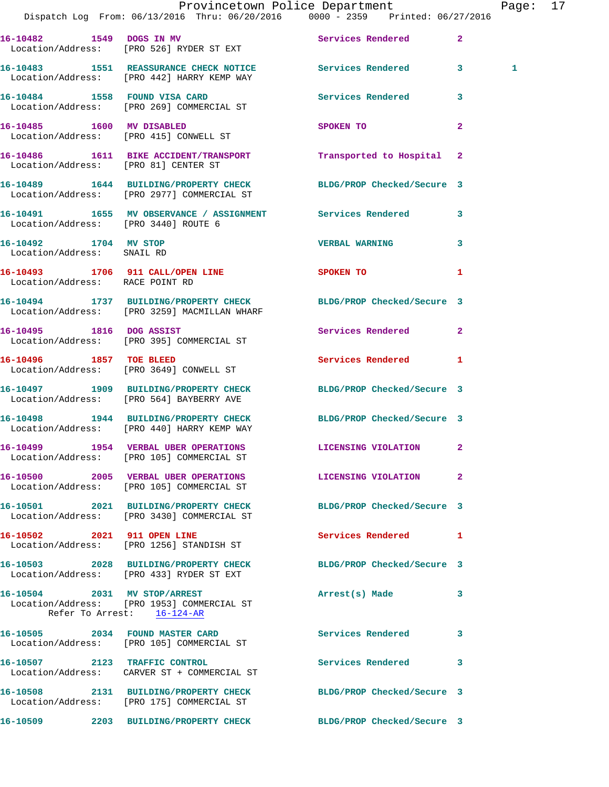|                                                     | Dispatch Log From: 06/13/2016 Thru: 06/20/2016 0000 - 2359 Printed: 06/27/2016                                   | Provincetown Police Department | Page: 17     |
|-----------------------------------------------------|------------------------------------------------------------------------------------------------------------------|--------------------------------|--------------|
|                                                     | 16-10482 1549 DOGS IN MV                                                                                         | Services Rendered 2            |              |
|                                                     | Location/Address: [PRO 526] RYDER ST EXT<br>16-10483 1551 REASSURANCE CHECK NOTICE Services Rendered 3           |                                | 1            |
|                                                     | Location/Address: [PRO 442] HARRY KEMP WAY                                                                       | Services Rendered 3            |              |
|                                                     | 16-10484 1558 FOUND VISA CARD<br>Location/Address: [PRO 269] COMMERCIAL ST<br>16-10485 1600 MV DISABLED          |                                |              |
|                                                     | Location/Address: [PRO 415] CONWELL ST                                                                           | SPOKEN TO                      | $\mathbf{2}$ |
| Location/Address: [PRO 81] CENTER ST                | 16-10486 1611 BIKE ACCIDENT/TRANSPORT                                                                            | Transported to Hospital 2      |              |
|                                                     | 16-10489 1644 BUILDING/PROPERTY CHECK BLDG/PROP Checked/Secure 3<br>Location/Address: [PRO 2977] COMMERCIAL ST   |                                |              |
| Location/Address: [PRO 3440] ROUTE 6                | 16-10491 1655 MV OBSERVANCE / ASSIGNMENT Services Rendered 3                                                     |                                |              |
| 16-10492 1704 MV STOP<br>Location/Address: SNAIL RD |                                                                                                                  | <b>VERBAL WARNING</b>          | 3            |
| Location/Address: RACE POINT RD                     | 16-10493 1706 911 CALL/OPEN LINE SPOKEN TO 1                                                                     |                                |              |
|                                                     | 16-10494 1737 BUILDING/PROPERTY CHECK BLDG/PROP Checked/Secure 3<br>Location/Address: [PRO 3259] MACMILLAN WHARF |                                |              |
|                                                     | 16-10495 1816 DOG ASSIST<br>Location/Address: [PRO 395] COMMERCIAL ST                                            | Services Rendered 2            |              |
|                                                     | 16-10496 1857 TOE BLEED<br>Location/Address: [PRO 3649] CONWELL ST                                               | Services Rendered 1            |              |
|                                                     | 16-10497 1909 BUILDING/PROPERTY CHECK BLDG/PROP Checked/Secure 3<br>Location/Address: [PRO 564] BAYBERRY AVE     |                                |              |
|                                                     | 16-10498 1944 BUILDING/PROPERTY CHECK BLDG/PROP Checked/Secure 3<br>Location/Address: [PRO 440] HARRY KEMP WAY   |                                |              |
|                                                     | 16-10499 1954 VERBAL UBER OPERATIONS<br>Location/Address: [PRO 105] COMMERCIAL ST                                | LICENSING VIOLATION 2          |              |
|                                                     | 16-10500 2005 VERBAL UBER OPERATIONS LICENSING VIOLATION 2<br>Location/Address: [PRO 105] COMMERCIAL ST          |                                |              |
|                                                     | 16-10501 2021 BUILDING/PROPERTY CHECK BLDG/PROP Checked/Secure 3<br>Location/Address: [PRO 3430] COMMERCIAL ST   |                                |              |
|                                                     | 16-10502 2021 911 OPEN LINE<br>Location/Address: [PRO 1256] STANDISH ST                                          | Services Rendered 1            |              |
|                                                     | 16-10503 2028 BUILDING/PROPERTY CHECK BLDG/PROP Checked/Secure 3<br>Location/Address: [PRO 433] RYDER ST EXT     |                                |              |
| Refer To Arrest: 16-124-AR                          | 16-10504 2031 MV STOP/ARREST<br>Location/Address: [PRO 1953] COMMERCIAL ST                                       | Arrest(s) Made                 | 3            |
|                                                     | 16-10505 2034 FOUND MASTER CARD<br>Location/Address: [PRO 105] COMMERCIAL ST                                     | <b>Services Rendered</b>       | 3            |
|                                                     | 16-10507 2123 TRAFFIC CONTROL<br>Location/Address: CARVER ST + COMMERCIAL ST                                     | Services Rendered              | 3            |
|                                                     | 16-10508 2131 BUILDING/PROPERTY CHECK BLDG/PROP Checked/Secure 3<br>Location/Address: [PRO 175] COMMERCIAL ST    |                                |              |
|                                                     | 16-10509 2203 BUILDING/PROPERTY CHECK BLDG/PROP Checked/Secure 3                                                 |                                |              |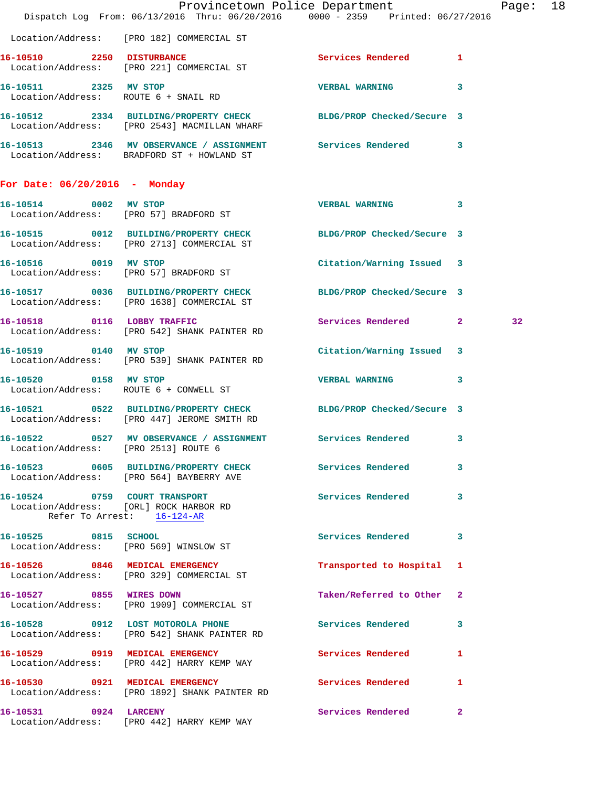|                                      |                                                                                                                  | Provincetown Police Department<br>Dispatch Log From: 06/13/2016 Thru: 06/20/2016 0000 - 2359 Printed: 06/27/2016 | Page: 18 |
|--------------------------------------|------------------------------------------------------------------------------------------------------------------|------------------------------------------------------------------------------------------------------------------|----------|
|                                      | Location/Address: [PRO 182] COMMERCIAL ST                                                                        |                                                                                                                  |          |
|                                      | 16-10510 2250 DISTURBANCE<br>Location/Address: [PRO 221] COMMERCIAL ST                                           | Services Rendered 1                                                                                              |          |
|                                      | 16-10511 2325 MV STOP<br>Location/Address: ROUTE 6 + SNAIL RD                                                    | VERBAL WARNING 3                                                                                                 |          |
|                                      | 16-10512 2334 BUILDING/PROPERTY CHECK BLDG/PROP Checked/Secure 3<br>Location/Address: [PRO 2543] MACMILLAN WHARF |                                                                                                                  |          |
|                                      | 16-10513 2346 MV OBSERVANCE / ASSIGNMENT Services Rendered 3<br>Location/Address: BRADFORD ST + HOWLAND ST       |                                                                                                                  |          |
| For Date: $06/20/2016$ - Monday      |                                                                                                                  |                                                                                                                  |          |
|                                      | 16-10514 0002 MV STOP<br>Location/Address: [PRO 57] BRADFORD ST                                                  | VERBAL WARNING 3                                                                                                 |          |
|                                      | 16-10515 0012 BUILDING/PROPERTY CHECK BLDG/PROP Checked/Secure 3<br>Location/Address: [PRO 2713] COMMERCIAL ST   |                                                                                                                  |          |
|                                      | 16-10516 0019 MV STOP<br>Location/Address: [PRO 57] BRADFORD ST                                                  | Citation/Warning Issued 3                                                                                        |          |
|                                      | 16-10517 0036 BUILDING/PROPERTY CHECK BLDG/PROP Checked/Secure 3<br>Location/Address: [PRO 1638] COMMERCIAL ST   |                                                                                                                  |          |
|                                      | 16-10518 0116 LOBBY TRAFFIC<br>Location/Address: [PRO 542] SHANK PAINTER RD                                      | Services Rendered 2                                                                                              | 32       |
| 16-10519 0140 MV STOP                | Location/Address: [PRO 539] SHANK PAINTER RD                                                                     | Citation/Warning Issued 3                                                                                        |          |
| 16-10520 0158 MV STOP                | Location/Address: ROUTE 6 + CONWELL ST                                                                           | VERBAL WARNING 3                                                                                                 |          |
|                                      | 16-10521 0522 BUILDING/PROPERTY CHECK BLDG/PROP Checked/Secure 3<br>Location/Address: [PRO 447] JEROME SMITH RD  |                                                                                                                  |          |
| Location/Address: [PRO 2513] ROUTE 6 | 16-10522 0527 MV OBSERVANCE / ASSIGNMENT Services Rendered 3                                                     |                                                                                                                  |          |
|                                      | 16-10523 0605 BUILDING/PROPERTY CHECK Services Rendered<br>Location/Address: [PRO 564] BAYBERRY AVE              | 3                                                                                                                |          |
|                                      | 16-10524 0759 COURT TRANSPORT<br>Location/Address: [ORL] ROCK HARBOR RD<br>Refer To Arrest: 16-124-AR            | Services Rendered<br>3                                                                                           |          |
| 16-10525 0815 SCHOOL                 | Location/Address: [PRO 569] WINSLOW ST                                                                           | Services Rendered<br>3                                                                                           |          |
|                                      | 16-10526 0846 MEDICAL EMERGENCY<br>Location/Address: [PRO 329] COMMERCIAL ST                                     | Transported to Hospital 1                                                                                        |          |
| 16-10527 0855 WIRES DOWN             | Location/Address: [PRO 1909] COMMERCIAL ST                                                                       | Taken/Referred to Other 2                                                                                        |          |
|                                      | 16-10528 0912 LOST MOTOROLA PHONE 3ervices Rendered<br>Location/Address: [PRO 542] SHANK PAINTER RD              | 3                                                                                                                |          |
|                                      | 16-10529 0919 MEDICAL EMERGENCY<br>Location/Address: [PRO 442] HARRY KEMP WAY                                    | <b>Services Rendered</b><br>1                                                                                    |          |
|                                      | 16-10530 0921 MEDICAL EMERGENCY<br>Location/Address: [PRO 1892] SHANK PAINTER RD                                 | <b>Services Rendered</b><br>$\mathbf{1}$                                                                         |          |
| 16-10531 0924 LARCENY                | Location/Address: [PRO 442] HARRY KEMP WAY                                                                       | Services Rendered<br>$\mathbf{2}$                                                                                |          |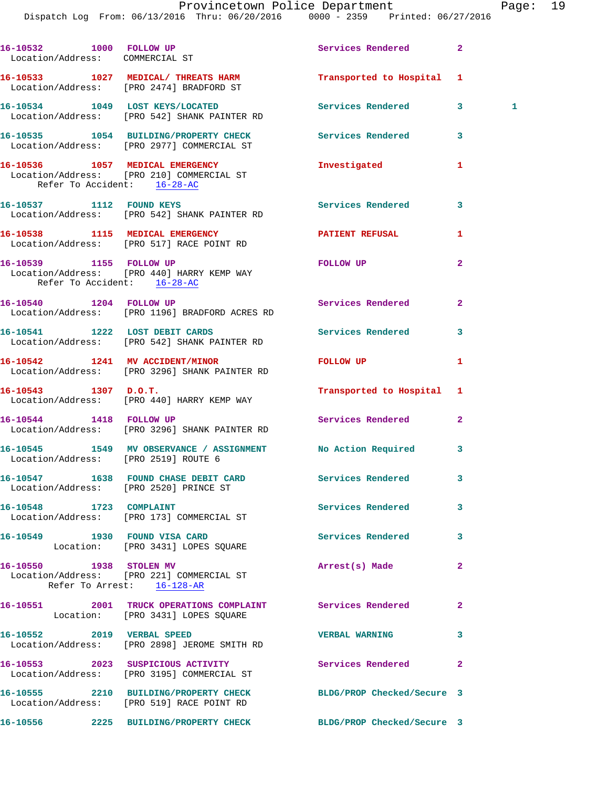| 16-10532 1000 FOLLOW UP<br>Location/Address: COMMERCIAL ST |                                                                                                 | Services Rendered          | $\overline{2}$    |
|------------------------------------------------------------|-------------------------------------------------------------------------------------------------|----------------------------|-------------------|
|                                                            | 16-10533 1027 MEDICAL/ THREATS HARM<br>Location/Address: [PRO 2474] BRADFORD ST                 | Transported to Hospital 1  |                   |
|                                                            | 16-10534 1049 LOST KEYS/LOCATED<br>Location/Address: [PRO 542] SHANK PAINTER RD                 | Services Rendered          | 3<br>$\mathbf{1}$ |
|                                                            | 16-10535 1054 BUILDING/PROPERTY CHECK<br>Location/Address: [PRO 2977] COMMERCIAL ST             | Services Rendered          | 3                 |
| Refer To Accident: 16-28-AC                                | 16-10536 1057 MEDICAL EMERGENCY<br>Location/Address: [PRO 210] COMMERCIAL ST                    | Investigated               | 1                 |
|                                                            | 16-10537 1112 FOUND KEYS<br>Location/Address: [PRO 542] SHANK PAINTER RD                        | Services Rendered          | 3                 |
|                                                            | 16-10538 1115 MEDICAL EMERGENCY<br>Location/Address: [PRO 517] RACE POINT RD                    | <b>PATIENT REFUSAL</b>     | 1                 |
| Refer To Accident: 16-28-AC                                | 16-10539 1155 FOLLOW UP<br>Location/Address: [PRO 440] HARRY KEMP WAY                           | FOLLOW UP                  | $\overline{2}$    |
| 16-10540 1204 FOLLOW UP                                    | Location/Address: [PRO 1196] BRADFORD ACRES RD                                                  | Services Rendered          | $\mathbf{2}$      |
|                                                            | 16-10541 1222 LOST DEBIT CARDS<br>Location/Address: [PRO 542] SHANK PAINTER RD                  | Services Rendered          | 3                 |
|                                                            | 16-10542 1241 MV ACCIDENT/MINOR<br>Location/Address: [PRO 3296] SHANK PAINTER RD                | FOLLOW UP                  | 1                 |
| $16-10543$ 1307 D.O.T.                                     | Location/Address: [PRO 440] HARRY KEMP WAY                                                      | Transported to Hospital 1  |                   |
|                                                            | 16-10544 1418 FOLLOW UP<br>Location/Address: [PRO 3296] SHANK PAINTER RD                        | Services Rendered          | $\mathbf{2}$      |
| Location/Address: [PRO 2519] ROUTE 6                       | 16-10545 1549 MV OBSERVANCE / ASSIGNMENT No Action Required                                     |                            | 3                 |
|                                                            | 16-10547 1638 FOUND CHASE DEBIT CARD<br>Location/Address: [PRO 2520] PRINCE ST                  | <b>Services Rendered</b>   | 3                 |
| 16-10548 1723 COMPLAINT                                    | Location/Address: [PRO 173] COMMERCIAL ST                                                       | Services Rendered          | 3                 |
|                                                            | 16-10549 1930 FOUND VISA CARD<br>Location: [PRO 3431] LOPES SQUARE                              | <b>Services Rendered</b>   | 3                 |
| 16-10550 1938 STOLEN MV                                    | Location/Address: [PRO 221] COMMERCIAL ST<br>Refer To Arrest: 16-128-AR                         | Arrest(s) Made             | $\overline{2}$    |
|                                                            | 16-10551 2001 TRUCK OPERATIONS COMPLAINT Services Rendered<br>Location: [PRO 3431] LOPES SQUARE |                            | $\mathbf{2}$      |
| 16-10552 2019 VERBAL SPEED                                 | Location/Address: [PRO 2898] JEROME SMITH RD                                                    | <b>VERBAL WARNING</b>      | 3                 |
|                                                            | 16-10553 2023 SUSPICIOUS ACTIVITY<br>Location/Address: [PRO 3195] COMMERCIAL ST                 | Services Rendered          | $\overline{2}$    |
|                                                            | 16-10555 2210 BUILDING/PROPERTY CHECK<br>Location/Address: [PRO 519] RACE POINT RD              | BLDG/PROP Checked/Secure 3 |                   |
|                                                            | 16-10556 2225 BUILDING/PROPERTY CHECK BLDG/PROP Checked/Secure 3                                |                            |                   |